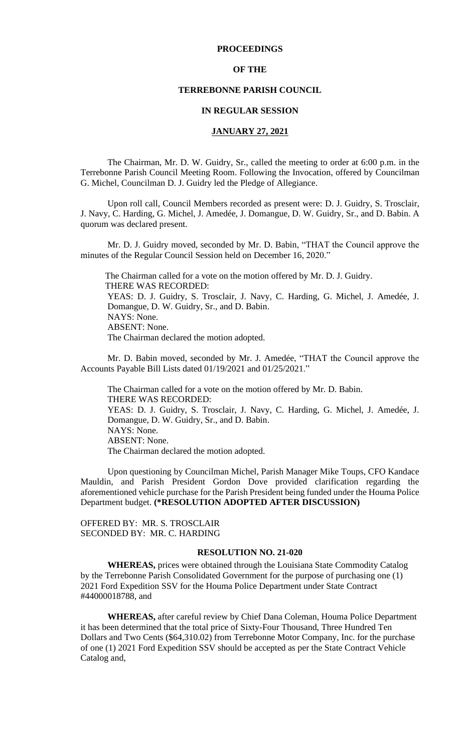#### **PROCEEDINGS**

# **OF THE**

# **TERREBONNE PARISH COUNCIL**

# **IN REGULAR SESSION**

### **JANUARY 27, 2021**

The Chairman, Mr. D. W. Guidry, Sr., called the meeting to order at 6:00 p.m. in the Terrebonne Parish Council Meeting Room. Following the Invocation, offered by Councilman G. Michel, Councilman D. J. Guidry led the Pledge of Allegiance.

Upon roll call, Council Members recorded as present were: D. J. Guidry, S. Trosclair, J. Navy, C. Harding, G. Michel, J. Amedée, J. Domangue, D. W. Guidry, Sr., and D. Babin. A quorum was declared present.

Mr. D. J. Guidry moved, seconded by Mr. D. Babin, "THAT the Council approve the minutes of the Regular Council Session held on December 16, 2020."

 The Chairman called for a vote on the motion offered by Mr. D. J. Guidry. THERE WAS RECORDED: YEAS: D. J. Guidry, S. Trosclair, J. Navy, C. Harding, G. Michel, J. Amedée, J. Domangue, D. W. Guidry, Sr., and D. Babin. NAYS: None. ABSENT: None. The Chairman declared the motion adopted.

Mr. D. Babin moved, seconded by Mr. J. Amedée, "THAT the Council approve the Accounts Payable Bill Lists dated 01/19/2021 and 01/25/2021."

The Chairman called for a vote on the motion offered by Mr. D. Babin. THERE WAS RECORDED: YEAS: D. J. Guidry, S. Trosclair, J. Navy, C. Harding, G. Michel, J. Amedée, J. Domangue, D. W. Guidry, Sr., and D. Babin. NAYS: None. ABSENT: None. The Chairman declared the motion adopted.

Upon questioning by Councilman Michel, Parish Manager Mike Toups, CFO Kandace Mauldin, and Parish President Gordon Dove provided clarification regarding the aforementioned vehicle purchase for the Parish President being funded under the Houma Police Department budget. **(\*RESOLUTION ADOPTED AFTER DISCUSSION)**

OFFERED BY: MR. S. TROSCLAIR SECONDED BY: MR. C. HARDING

# **RESOLUTION NO. 21-020**

**WHEREAS,** prices were obtained through the Louisiana State Commodity Catalog by the Terrebonne Parish Consolidated Government for the purpose of purchasing one (1) 2021 Ford Expedition SSV for the Houma Police Department under State Contract #44000018788, and

**WHEREAS,** after careful review by Chief Dana Coleman, Houma Police Department it has been determined that the total price of Sixty-Four Thousand, Three Hundred Ten Dollars and Two Cents (\$64,310.02) from Terrebonne Motor Company, Inc. for the purchase of one (1) 2021 Ford Expedition SSV should be accepted as per the State Contract Vehicle Catalog and,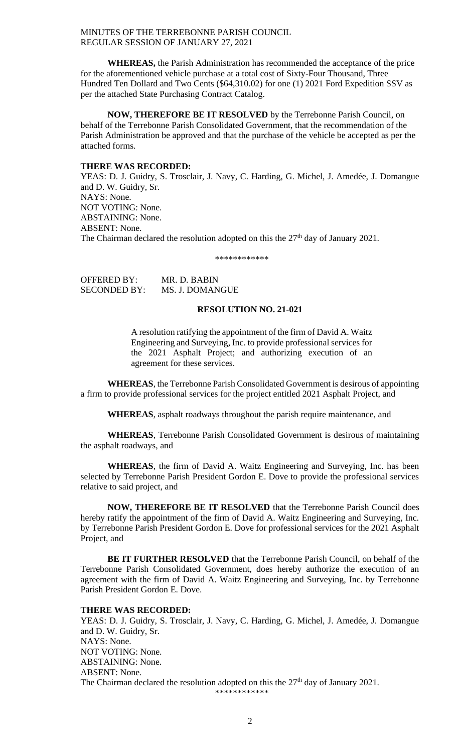**WHEREAS,** the Parish Administration has recommended the acceptance of the price for the aforementioned vehicle purchase at a total cost of Sixty-Four Thousand, Three Hundred Ten Dollard and Two Cents (\$64,310.02) for one (1) 2021 Ford Expedition SSV as per the attached State Purchasing Contract Catalog.

**NOW, THEREFORE BE IT RESOLVED** by the Terrebonne Parish Council, on behalf of the Terrebonne Parish Consolidated Government, that the recommendation of the Parish Administration be approved and that the purchase of the vehicle be accepted as per the attached forms.

#### **THERE WAS RECORDED:**

YEAS: D. J. Guidry, S. Trosclair, J. Navy, C. Harding, G. Michel, J. Amedée, J. Domangue and D. W. Guidry, Sr. NAYS: None. NOT VOTING: None. ABSTAINING: None. ABSENT: None. The Chairman declared the resolution adopted on this the  $27<sup>th</sup>$  day of January 2021.

#### \*\*\*\*\*\*\*\*\*\*\*\*

OFFERED BY: MR. D. BABIN SECONDED BY: MS. J. DOMANGUE

#### **RESOLUTION NO. 21-021**

A resolution ratifying the appointment of the firm of David A. Waitz Engineering and Surveying, Inc. to provide professional services for the 2021 Asphalt Project; and authorizing execution of an agreement for these services.

**WHEREAS**, the Terrebonne Parish Consolidated Government is desirous of appointing a firm to provide professional services for the project entitled 2021 Asphalt Project, and

**WHEREAS**, asphalt roadways throughout the parish require maintenance, and

**WHEREAS**, Terrebonne Parish Consolidated Government is desirous of maintaining the asphalt roadways, and

**WHEREAS**, the firm of David A. Waitz Engineering and Surveying, Inc. has been selected by Terrebonne Parish President Gordon E. Dove to provide the professional services relative to said project, and

**NOW, THEREFORE BE IT RESOLVED** that the Terrebonne Parish Council does hereby ratify the appointment of the firm of David A. Waitz Engineering and Surveying, Inc. by Terrebonne Parish President Gordon E. Dove for professional services for the 2021 Asphalt Project, and

**BE IT FURTHER RESOLVED** that the Terrebonne Parish Council, on behalf of the Terrebonne Parish Consolidated Government, does hereby authorize the execution of an agreement with the firm of David A. Waitz Engineering and Surveying, Inc. by Terrebonne Parish President Gordon E. Dove.

# **THERE WAS RECORDED:**

YEAS: D. J. Guidry, S. Trosclair, J. Navy, C. Harding, G. Michel, J. Amedée, J. Domangue and D. W. Guidry, Sr. NAYS: None. NOT VOTING: None. ABSTAINING: None. ABSENT: None. The Chairman declared the resolution adopted on this the  $27<sup>th</sup>$  day of January 2021. \*\*\*\*\*\*\*\*\*\*\*\*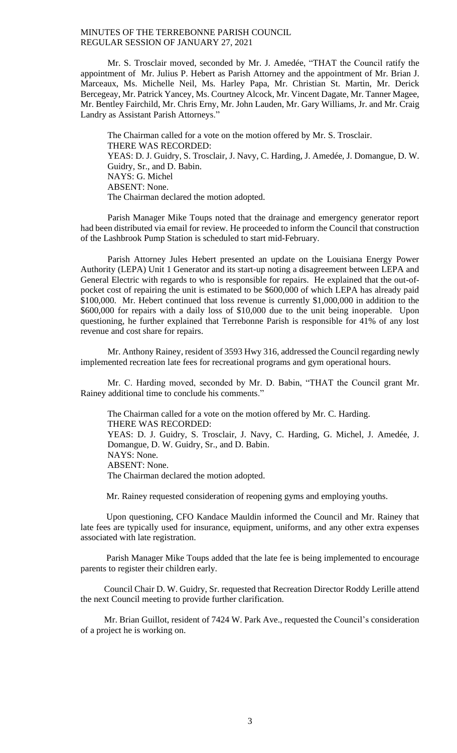Mr. S. Trosclair moved, seconded by Mr. J. Amedée, "THAT the Council ratify the appointment of Mr. Julius P. Hebert as Parish Attorney and the appointment of Mr. Brian J. Marceaux, Ms. Michelle Neil, Ms. Harley Papa, Mr. Christian St. Martin, Mr. Derick Bercegeay, Mr. Patrick Yancey, Ms. Courtney Alcock, Mr. Vincent Dagate, Mr. Tanner Magee, Mr. Bentley Fairchild, Mr. Chris Erny, Mr. John Lauden, Mr. Gary Williams, Jr. and Mr. Craig Landry as Assistant Parish Attorneys."

The Chairman called for a vote on the motion offered by Mr. S. Trosclair. THERE WAS RECORDED: YEAS: D. J. Guidry, S. Trosclair, J. Navy, C. Harding, J. Amedée, J. Domangue, D. W. Guidry, Sr., and D. Babin. NAYS: G. Michel ABSENT: None. The Chairman declared the motion adopted.

Parish Manager Mike Toups noted that the drainage and emergency generator report had been distributed via email for review. He proceeded to inform the Council that construction of the Lashbrook Pump Station is scheduled to start mid-February.

Parish Attorney Jules Hebert presented an update on the Louisiana Energy Power Authority (LEPA) Unit 1 Generator and its start-up noting a disagreement between LEPA and General Electric with regards to who is responsible for repairs. He explained that the out-ofpocket cost of repairing the unit is estimated to be \$600,000 of which LEPA has already paid \$100,000. Mr. Hebert continued that loss revenue is currently \$1,000,000 in addition to the \$600,000 for repairs with a daily loss of \$10,000 due to the unit being inoperable. Upon questioning, he further explained that Terrebonne Parish is responsible for 41% of any lost revenue and cost share for repairs.

Mr. Anthony Rainey, resident of 3593 Hwy 316, addressed the Council regarding newly implemented recreation late fees for recreational programs and gym operational hours.

Mr. C. Harding moved, seconded by Mr. D. Babin, "THAT the Council grant Mr. Rainey additional time to conclude his comments."

The Chairman called for a vote on the motion offered by Mr. C. Harding. THERE WAS RECORDED: YEAS: D. J. Guidry, S. Trosclair, J. Navy, C. Harding, G. Michel, J. Amedée, J. Domangue, D. W. Guidry, Sr., and D. Babin. NAYS: None. ABSENT: None. The Chairman declared the motion adopted.

Mr. Rainey requested consideration of reopening gyms and employing youths.

Upon questioning, CFO Kandace Mauldin informed the Council and Mr. Rainey that late fees are typically used for insurance, equipment, uniforms, and any other extra expenses associated with late registration.

Parish Manager Mike Toups added that the late fee is being implemented to encourage parents to register their children early.

Council Chair D. W. Guidry, Sr. requested that Recreation Director Roddy Lerille attend the next Council meeting to provide further clarification.

Mr. Brian Guillot, resident of 7424 W. Park Ave., requested the Council's consideration of a project he is working on.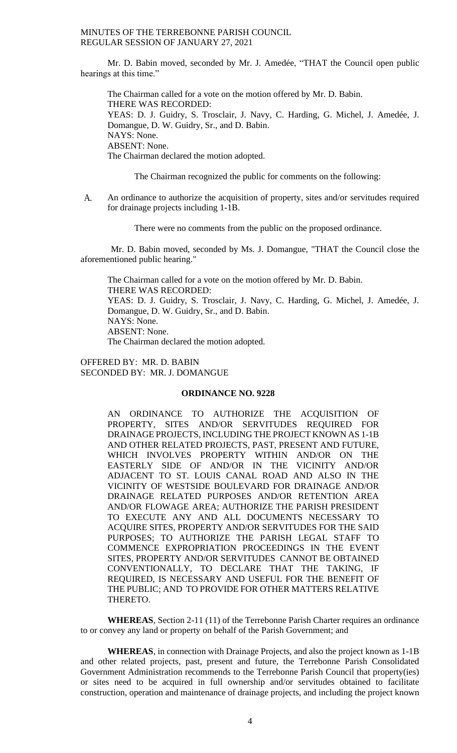Mr. D. Babin moved, seconded by Mr. J. Amedée, "THAT the Council open public hearings at this time."

The Chairman called for a vote on the motion offered by Mr. D. Babin. THERE WAS RECORDED: YEAS: D. J. Guidry, S. Trosclair, J. Navy, C. Harding, G. Michel, J. Amedée, J. Domangue, D. W. Guidry, Sr., and D. Babin. NAYS: None. ABSENT: None. The Chairman declared the motion adopted.

The Chairman recognized the public for comments on the following:

A. An ordinance to authorize the acquisition of property, sites and/or servitudes required for drainage projects including 1-1B.

There were no comments from the public on the proposed ordinance.

Mr. D. Babin moved, seconded by Ms. J. Domangue, "THAT the Council close the aforementioned public hearing."

The Chairman called for a vote on the motion offered by Mr. D. Babin. THERE WAS RECORDED: YEAS: D. J. Guidry, S. Trosclair, J. Navy, C. Harding, G. Michel, J. Amedée, J. Domangue, D. W. Guidry, Sr., and D. Babin. NAYS: None. ABSENT: None. The Chairman declared the motion adopted.

OFFERED BY: MR. D. BABIN SECONDED BY: MR. J. DOMANGUE

# **ORDINANCE NO. 9228**

AN ORDINANCE TO AUTHORIZE THE ACQUISITION OF PROPERTY, SITES AND/OR SERVITUDES REQUIRED FOR DRAINAGE PROJECTS, INCLUDING THE PROJECT KNOWN AS 1-1B AND OTHER RELATED PROJECTS, PAST, PRESENT AND FUTURE, WHICH INVOLVES PROPERTY WITHIN AND/OR ON THE EASTERLY SIDE OF AND/OR IN THE VICINITY AND/OR ADJACENT TO ST. LOUIS CANAL ROAD AND ALSO IN THE VICINITY OF WESTSIDE BOULEVARD FOR DRAINAGE AND/OR DRAINAGE RELATED PURPOSES AND/OR RETENTION AREA AND/OR FLOWAGE AREA; AUTHORIZE THE PARISH PRESIDENT TO EXECUTE ANY AND ALL DOCUMENTS NECESSARY TO ACQUIRE SITES, PROPERTY AND/OR SERVITUDES FOR THE SAID PURPOSES; TO AUTHORIZE THE PARISH LEGAL STAFF TO COMMENCE EXPROPRIATION PROCEEDINGS IN THE EVENT SITES, PROPERTY AND/OR SERVITUDES CANNOT BE OBTAINED CONVENTIONALLY, TO DECLARE THAT THE TAKING, IF REQUIRED, IS NECESSARY AND USEFUL FOR THE BENEFIT OF THE PUBLIC; AND TO PROVIDE FOR OTHER MATTERS RELATIVE THERETO.

**WHEREAS**, Section 2-11 (11) of the Terrebonne Parish Charter requires an ordinance to or convey any land or property on behalf of the Parish Government; and

**WHEREAS**, in connection with Drainage Projects, and also the project known as 1-1B and other related projects, past, present and future, the Terrebonne Parish Consolidated Government Administration recommends to the Terrebonne Parish Council that property(ies) or sites need to be acquired in full ownership and/or servitudes obtained to facilitate construction, operation and maintenance of drainage projects, and including the project known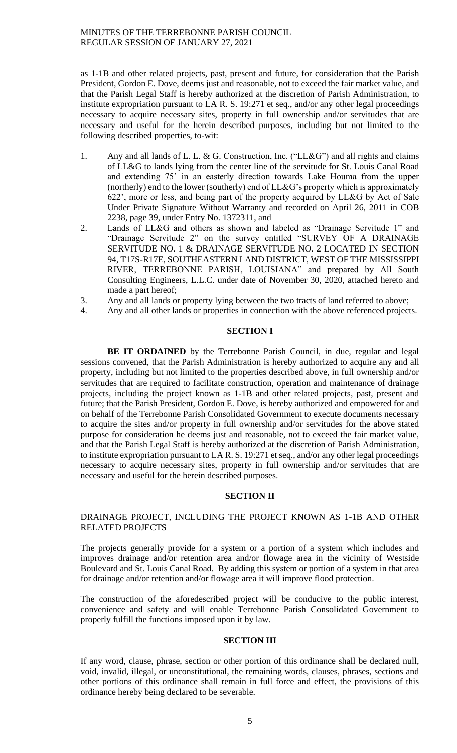as 1-1B and other related projects, past, present and future, for consideration that the Parish President, Gordon E. Dove, deems just and reasonable, not to exceed the fair market value, and that the Parish Legal Staff is hereby authorized at the discretion of Parish Administration, to institute expropriation pursuant to LA R. S. 19:271 et seq., and/or any other legal proceedings necessary to acquire necessary sites, property in full ownership and/or servitudes that are necessary and useful for the herein described purposes, including but not limited to the following described properties, to-wit:

- 1. Any and all lands of L. L. & G. Construction, Inc. ("LL&G") and all rights and claims of LL&G to lands lying from the center line of the servitude for St. Louis Canal Road and extending 75' in an easterly direction towards Lake Houma from the upper (northerly) end to the lower (southerly) end of  $LL&G$ 's property which is approximately 622', more or less, and being part of the property acquired by LL&G by Act of Sale Under Private Signature Without Warranty and recorded on April 26, 2011 in COB 2238, page 39, under Entry No. 1372311, and
- 2. Lands of LL&G and others as shown and labeled as "Drainage Servitude 1" and "Drainage Servitude 2" on the survey entitled "SURVEY OF A DRAINAGE SERVITUDE NO. 1 & DRAINAGE SERVITUDE NO. 2 LOCATED IN SECTION 94, T17S-R17E, SOUTHEASTERN LAND DISTRICT, WEST OF THE MISSISSIPPI RIVER, TERREBONNE PARISH, LOUISIANA" and prepared by All South Consulting Engineers, L.L.C. under date of November 30, 2020, attached hereto and made a part hereof;
- 3. Any and all lands or property lying between the two tracts of land referred to above;
- 4. Any and all other lands or properties in connection with the above referenced projects.

# **SECTION I**

BE IT ORDAINED by the Terrebonne Parish Council, in due, regular and legal sessions convened, that the Parish Administration is hereby authorized to acquire any and all property, including but not limited to the properties described above, in full ownership and/or servitudes that are required to facilitate construction, operation and maintenance of drainage projects, including the project known as 1-1B and other related projects, past, present and future; that the Parish President, Gordon E. Dove, is hereby authorized and empowered for and on behalf of the Terrebonne Parish Consolidated Government to execute documents necessary to acquire the sites and/or property in full ownership and/or servitudes for the above stated purpose for consideration he deems just and reasonable, not to exceed the fair market value, and that the Parish Legal Staff is hereby authorized at the discretion of Parish Administration, to institute expropriation pursuant to LA R. S. 19:271 et seq., and/or any other legal proceedings necessary to acquire necessary sites, property in full ownership and/or servitudes that are necessary and useful for the herein described purposes.

### **SECTION II**

# DRAINAGE PROJECT, INCLUDING THE PROJECT KNOWN AS 1-1B AND OTHER RELATED PROJECTS

The projects generally provide for a system or a portion of a system which includes and improves drainage and/or retention area and/or flowage area in the vicinity of Westside Boulevard and St. Louis Canal Road. By adding this system or portion of a system in that area for drainage and/or retention and/or flowage area it will improve flood protection.

The construction of the aforedescribed project will be conducive to the public interest, convenience and safety and will enable Terrebonne Parish Consolidated Government to properly fulfill the functions imposed upon it by law.

### **SECTION III**

If any word, clause, phrase, section or other portion of this ordinance shall be declared null, void, invalid, illegal, or unconstitutional, the remaining words, clauses, phrases, sections and other portions of this ordinance shall remain in full force and effect, the provisions of this ordinance hereby being declared to be severable.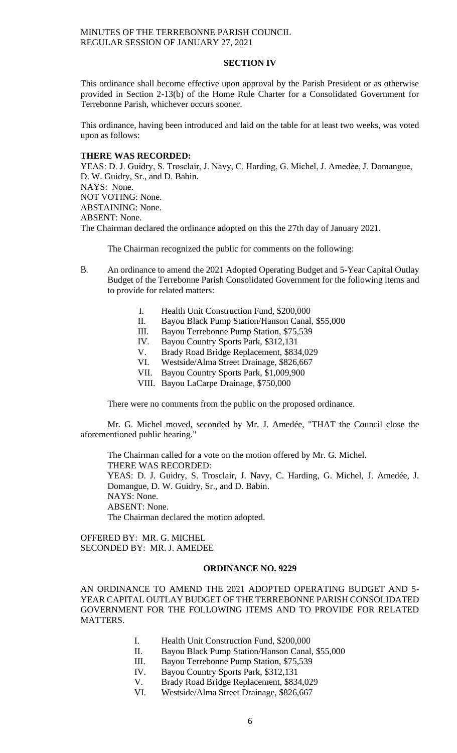# **SECTION IV**

This ordinance shall become effective upon approval by the Parish President or as otherwise provided in Section 2-13(b) of the Home Rule Charter for a Consolidated Government for Terrebonne Parish, whichever occurs sooner.

This ordinance, having been introduced and laid on the table for at least two weeks, was voted upon as follows:

# **THERE WAS RECORDED:**

YEAS: D. J. Guidry, S. Trosclair, J. Navy, C. Harding, G. Michel, J. Amedẻe, J. Domangue, D. W. Guidry, Sr., and D. Babin. NAYS: None. NOT VOTING: None. ABSTAINING: None. ABSENT: None. The Chairman declared the ordinance adopted on this the 27th day of January 2021.

The Chairman recognized the public for comments on the following:

B. An ordinance to amend the 2021 Adopted Operating Budget and 5-Year Capital Outlay Budget of the Terrebonne Parish Consolidated Government for the following items and to provide for related matters:

- I. Health Unit Construction Fund, \$200,000
- II. Bayou Black Pump Station/Hanson Canal, \$55,000
- III. Bayou Terrebonne Pump Station, \$75,539
- IV. Bayou Country Sports Park, \$312,131
- V. Brady Road Bridge Replacement, \$834,029
- VI. Westside/Alma Street Drainage, \$826,667
- VII. Bayou Country Sports Park, \$1,009,900
- VIII. Bayou LaCarpe Drainage, \$750,000

There were no comments from the public on the proposed ordinance.

Mr. G. Michel moved, seconded by Mr. J. Amedée, "THAT the Council close the aforementioned public hearing."

The Chairman called for a vote on the motion offered by Mr. G. Michel. THERE WAS RECORDED: YEAS: D. J. Guidry, S. Trosclair, J. Navy, C. Harding, G. Michel, J. Amedée, J. Domangue, D. W. Guidry, Sr., and D. Babin. NAYS: None. ABSENT: None. The Chairman declared the motion adopted.

OFFERED BY: MR. G. MICHEL SECONDED BY: MR. J. AMEDEE

#### **ORDINANCE NO. 9229**

AN ORDINANCE TO AMEND THE 2021 ADOPTED OPERATING BUDGET AND 5- YEAR CAPITAL OUTLAY BUDGET OF THE TERREBONNE PARISH CONSOLIDATED GOVERNMENT FOR THE FOLLOWING ITEMS AND TO PROVIDE FOR RELATED MATTERS.

- I. Health Unit Construction Fund, \$200,000
- II. Bayou Black Pump Station/Hanson Canal, \$55,000
- III. Bayou Terrebonne Pump Station, \$75,539
- IV. Bayou Country Sports Park, \$312,131
- V. Brady Road Bridge Replacement, \$834,029
- VI. Westside/Alma Street Drainage, \$826,667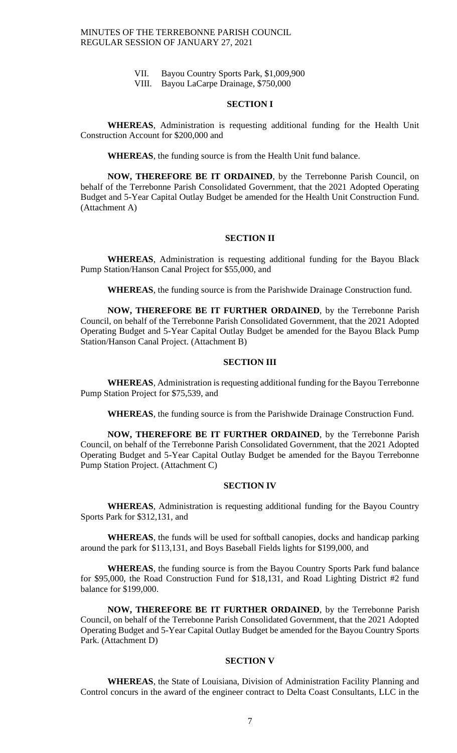- VII. Bayou Country Sports Park, \$1,009,900
- VIII. Bayou LaCarpe Drainage, \$750,000

# **SECTION I**

**WHEREAS**, Administration is requesting additional funding for the Health Unit Construction Account for \$200,000 and

**WHEREAS**, the funding source is from the Health Unit fund balance.

**NOW, THEREFORE BE IT ORDAINED**, by the Terrebonne Parish Council, on behalf of the Terrebonne Parish Consolidated Government, that the 2021 Adopted Operating Budget and 5-Year Capital Outlay Budget be amended for the Health Unit Construction Fund. (Attachment A)

# **SECTION II**

**WHEREAS**, Administration is requesting additional funding for the Bayou Black Pump Station/Hanson Canal Project for \$55,000, and

**WHEREAS**, the funding source is from the Parishwide Drainage Construction fund.

**NOW, THEREFORE BE IT FURTHER ORDAINED**, by the Terrebonne Parish Council, on behalf of the Terrebonne Parish Consolidated Government, that the 2021 Adopted Operating Budget and 5-Year Capital Outlay Budget be amended for the Bayou Black Pump Station/Hanson Canal Project. (Attachment B)

# **SECTION III**

**WHEREAS**, Administration is requesting additional funding for the Bayou Terrebonne Pump Station Project for \$75,539, and

**WHEREAS**, the funding source is from the Parishwide Drainage Construction Fund.

**NOW, THEREFORE BE IT FURTHER ORDAINED**, by the Terrebonne Parish Council, on behalf of the Terrebonne Parish Consolidated Government, that the 2021 Adopted Operating Budget and 5-Year Capital Outlay Budget be amended for the Bayou Terrebonne Pump Station Project. (Attachment C)

# **SECTION IV**

**WHEREAS**, Administration is requesting additional funding for the Bayou Country Sports Park for \$312,131, and

**WHEREAS**, the funds will be used for softball canopies, docks and handicap parking around the park for \$113,131, and Boys Baseball Fields lights for \$199,000, and

**WHEREAS**, the funding source is from the Bayou Country Sports Park fund balance for \$95,000, the Road Construction Fund for \$18,131, and Road Lighting District #2 fund balance for \$199,000.

**NOW, THEREFORE BE IT FURTHER ORDAINED**, by the Terrebonne Parish Council, on behalf of the Terrebonne Parish Consolidated Government, that the 2021 Adopted Operating Budget and 5-Year Capital Outlay Budget be amended for the Bayou Country Sports Park. (Attachment D)

# **SECTION V**

**WHEREAS**, the State of Louisiana, Division of Administration Facility Planning and Control concurs in the award of the engineer contract to Delta Coast Consultants, LLC in the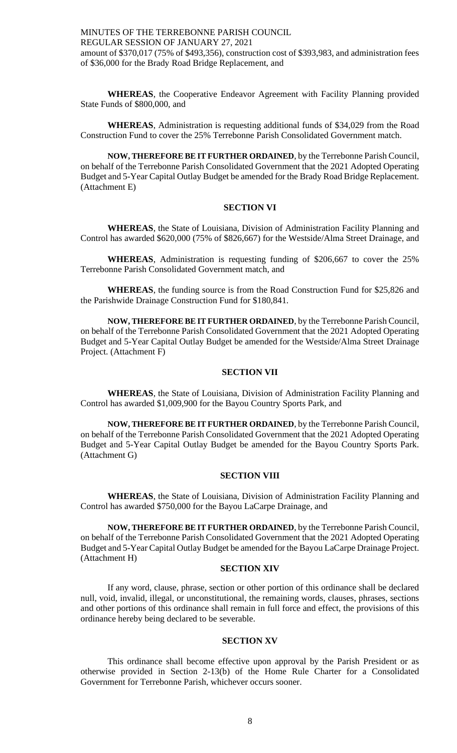MINUTES OF THE TERREBONNE PARISH COUNCIL REGULAR SESSION OF JANUARY 27, 2021 amount of \$370,017 (75% of \$493,356), construction cost of \$393,983, and administration fees of \$36,000 for the Brady Road Bridge Replacement, and

**WHEREAS**, the Cooperative Endeavor Agreement with Facility Planning provided State Funds of \$800,000, and

**WHEREAS**, Administration is requesting additional funds of \$34,029 from the Road Construction Fund to cover the 25% Terrebonne Parish Consolidated Government match.

**NOW, THEREFORE BE IT FURTHER ORDAINED**, by the Terrebonne Parish Council, on behalf of the Terrebonne Parish Consolidated Government that the 2021 Adopted Operating Budget and 5-Year Capital Outlay Budget be amended for the Brady Road Bridge Replacement. (Attachment E)

# **SECTION VI**

**WHEREAS**, the State of Louisiana, Division of Administration Facility Planning and Control has awarded \$620,000 (75% of \$826,667) for the Westside/Alma Street Drainage, and

**WHEREAS**, Administration is requesting funding of \$206,667 to cover the 25% Terrebonne Parish Consolidated Government match, and

**WHEREAS**, the funding source is from the Road Construction Fund for \$25,826 and the Parishwide Drainage Construction Fund for \$180,841.

**NOW, THEREFORE BE IT FURTHER ORDAINED**, by the Terrebonne Parish Council, on behalf of the Terrebonne Parish Consolidated Government that the 2021 Adopted Operating Budget and 5-Year Capital Outlay Budget be amended for the Westside/Alma Street Drainage Project. (Attachment F)

# **SECTION VII**

**WHEREAS**, the State of Louisiana, Division of Administration Facility Planning and Control has awarded \$1,009,900 for the Bayou Country Sports Park, and

**NOW, THEREFORE BE IT FURTHER ORDAINED**, by the Terrebonne Parish Council, on behalf of the Terrebonne Parish Consolidated Government that the 2021 Adopted Operating Budget and 5-Year Capital Outlay Budget be amended for the Bayou Country Sports Park. (Attachment G)

### **SECTION VIII**

**WHEREAS**, the State of Louisiana, Division of Administration Facility Planning and Control has awarded \$750,000 for the Bayou LaCarpe Drainage, and

**NOW, THEREFORE BE IT FURTHER ORDAINED**, by the Terrebonne Parish Council, on behalf of the Terrebonne Parish Consolidated Government that the 2021 Adopted Operating Budget and 5-Year Capital Outlay Budget be amended for the Bayou LaCarpe Drainage Project. (Attachment H)

#### **SECTION XIV**

If any word, clause, phrase, section or other portion of this ordinance shall be declared null, void, invalid, illegal, or unconstitutional, the remaining words, clauses, phrases, sections and other portions of this ordinance shall remain in full force and effect, the provisions of this ordinance hereby being declared to be severable.

# **SECTION XV**

This ordinance shall become effective upon approval by the Parish President or as otherwise provided in Section 2-13(b) of the Home Rule Charter for a Consolidated Government for Terrebonne Parish, whichever occurs sooner.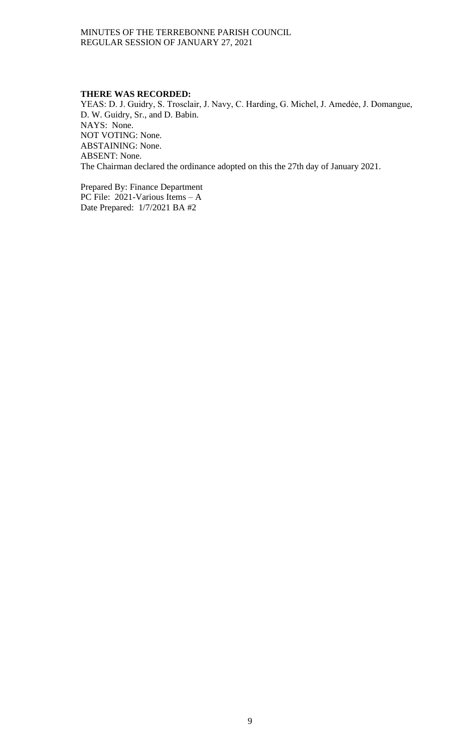# **THERE WAS RECORDED:**

YEAS: D. J. Guidry, S. Trosclair, J. Navy, C. Harding, G. Michel, J. Amedẻe, J. Domangue, D. W. Guidry, Sr., and D. Babin. NAYS: None. NOT VOTING: None. ABSTAINING: None. ABSENT: None. The Chairman declared the ordinance adopted on this the 27th day of January 2021.

Prepared By: Finance Department PC File: 2021-Various Items – A Date Prepared: 1/7/2021 BA #2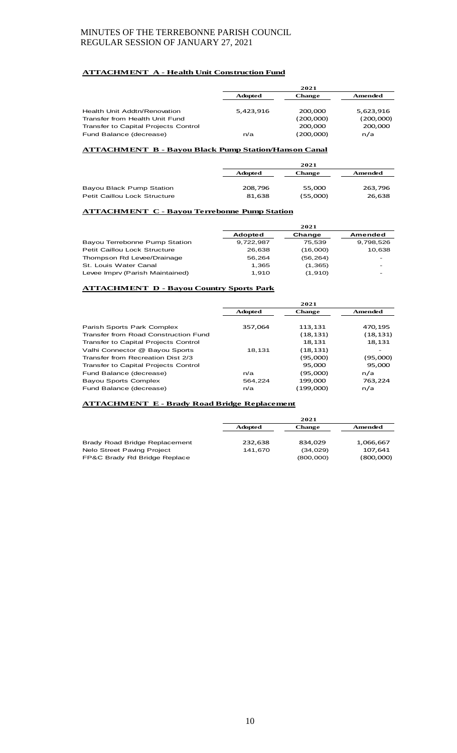### **ATTACHMENT A - Health Unit Construction Fund**

|                                      | 2021           |               |           |
|--------------------------------------|----------------|---------------|-----------|
|                                      | <b>Adopted</b> | <b>Change</b> | Amended   |
|                                      |                |               |           |
| Health Unit Addtn/Renovation         | 5.423.916      | 200.000       | 5,623,916 |
| Transfer from Health Unit Fund       |                | (200,000)     | (200,000) |
| Transfer to Capital Projects Control |                | 200,000       | 200,000   |
| Fund Balance (decrease)              | n/a            | (200,000)     | n/a       |

#### **ATTACHMENT B - Bayou Black Pump Station/Hanson Canal**

|                                     |                | 2021          |         |
|-------------------------------------|----------------|---------------|---------|
|                                     | <b>Adopted</b> | <b>Change</b> | Amended |
|                                     |                |               |         |
| Bayou Black Pump Station            | 208,796        | 55.000        | 263,796 |
| <b>Petit Caillou Lock Structure</b> | 81,638         | (55,000)      | 26,638  |

## **ATTACHMENT C - Bayou Terrebonne Pump Station**

|                                 |           | 2021      |                          |
|---------------------------------|-----------|-----------|--------------------------|
|                                 | Adopted   | Change    | Amended                  |
| Bayou Terrebonne Pump Station   | 9,722,987 | 75.539    | 9,798,526                |
| Petit Caillou Lock Structure    | 26.638    | (16,000)  | 10,638                   |
| Thompson Rd Levee/Drainage      | 56.264    | (56, 264) | -                        |
| St. Louis Water Canal           | 1.365     | (1, 365)  | $\overline{\phantom{0}}$ |
| Levee Impry (Parish Maintained) | 1.910     | (1,910)   |                          |

#### **ATTACHMENT D - Bayou Country Sports Park**

|                                      | 2021           |               |          |
|--------------------------------------|----------------|---------------|----------|
|                                      | <b>Adopted</b> | <b>Change</b> | Amended  |
|                                      |                |               |          |
| Parish Sports Park Complex           | 357,064        | 113,131       | 470,195  |
| Transfer from Road Construction Fund |                | (18,131)      | (18,131) |
| Transfer to Capital Projects Control |                | 18,131        | 18,131   |
| Valhi Connector @ Bayou Sports       | 18,131         | (18,131)      |          |
| Transfer from Recreation Dist 2/3    |                | (95,000)      | (95,000) |
| Transfer to Capital Projects Control |                | 95.000        | 95,000   |
| Fund Balance (decrease)              | n/a            | (95,000)      | n/a      |
| <b>Bayou Sports Complex</b>          | 564.224        | 199,000       | 763,224  |
| Fund Balance (decrease)              | n/a            | (199,000)     | n/a      |

#### **ATTACHMENT E - Brady Road Bridge Replacement**

|                               | 2021           |           |           |
|-------------------------------|----------------|-----------|-----------|
|                               | <b>Adopted</b> | Change    | Amended   |
| Brady Road Bridge Replacement | 232,638        | 834.029   | 1,066,667 |
| Nelo Street Paving Project    | 141.670        | (34, 029) | 107,641   |
| FP&C Brady Rd Bridge Replace  |                | (800,000) | (800,000) |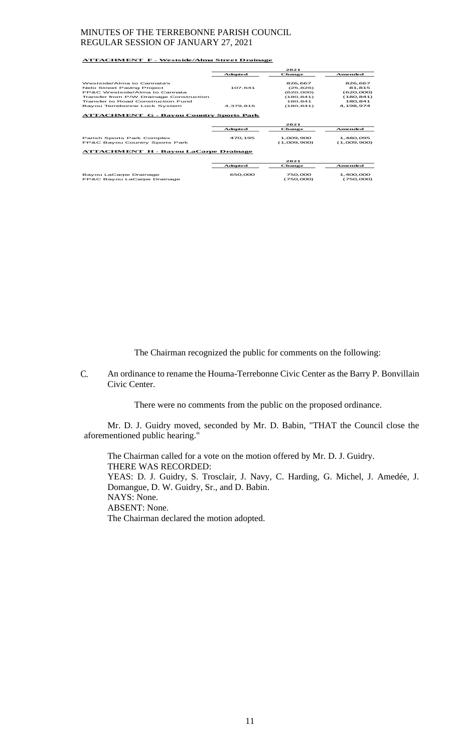#### **ATTACHMENT F - Westside/Alma Street Drainage**

|                                                              | 2021      |                          |                          |
|--------------------------------------------------------------|-----------|--------------------------|--------------------------|
|                                                              | Adopted   | Change                   | Amended                  |
| Westside/Alma to Cannata's                                   |           | 826.667                  | 826,667                  |
| Nelo Street Paving Project                                   | 107.641   | (25, 826)                | 81.815                   |
| <b>EP&amp;C Westside/Alma to Cannata</b>                     |           | (620,000)                | (620,000)                |
| Transfer from P/W Drainage Construction                      |           | (180.841)                | (180, 841)               |
| Transfer to Road Construction Fund                           |           | 180.841                  | 180,841                  |
| Bayou Terrebonne Lock System                                 | 4,379,815 | (180.841)                | 4.198.974                |
| <b>ATTACHMENT G - Bayou Country Sports Park</b><br>2021      |           |                          |                          |
|                                                              | Adopted   | <b>Change</b>            | <b>Amended</b>           |
| Parish Sports Park Complex<br>FP&C Bayou Country Sports Park | 470.195   | 1.009.900<br>(1,009,900) | 1,480,095<br>(1,009,900) |
| <b>ATTACHMENT H - Bayou LaCarpe Drainage</b>                 |           |                          |                          |
|                                                              |           |                          |                          |
|                                                              |           | 2021                     |                          |
|                                                              | Adopted   | Change                   | Amended                  |
| Bayou LaCarpe Drainage<br>FP&C Bayou LaCarpe Drainage        | 650,000   | 750.000<br>(750,000)     | 1.400.000<br>(750,000)   |

The Chairman recognized the public for comments on the following:

C. An ordinance to rename the Houma-Terrebonne Civic Center as the Barry P. Bonvillain Civic Center.

There were no comments from the public on the proposed ordinance.

Mr. D. J. Guidry moved, seconded by Mr. D. Babin, "THAT the Council close the aforementioned public hearing."

The Chairman called for a vote on the motion offered by Mr. D. J. Guidry. THERE WAS RECORDED: YEAS: D. J. Guidry, S. Trosclair, J. Navy, C. Harding, G. Michel, J. Amedée, J. Domangue, D. W. Guidry, Sr., and D. Babin. NAYS: None. ABSENT: None. The Chairman declared the motion adopted.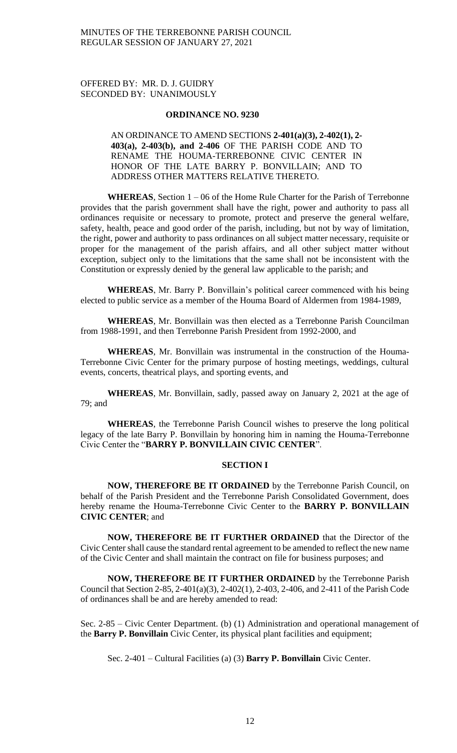# OFFERED BY: MR. D. J. GUIDRY SECONDED BY: UNANIMOUSLY

### **ORDINANCE NO. 9230**

AN ORDINANCE TO AMEND SECTIONS **2-401(a)(3), 2-402(1), 2- 403(a), 2-403(b), and 2-406** OF THE PARISH CODE AND TO RENAME THE HOUMA-TERREBONNE CIVIC CENTER IN HONOR OF THE LATE BARRY P. BONVILLAIN; AND TO ADDRESS OTHER MATTERS RELATIVE THERETO.

**WHEREAS**, Section 1 – 06 of the Home Rule Charter for the Parish of Terrebonne provides that the parish government shall have the right, power and authority to pass all ordinances requisite or necessary to promote, protect and preserve the general welfare, safety, health, peace and good order of the parish, including, but not by way of limitation, the right, power and authority to pass ordinances on all subject matter necessary, requisite or proper for the management of the parish affairs, and all other subject matter without exception, subject only to the limitations that the same shall not be inconsistent with the Constitution or expressly denied by the general law applicable to the parish; and

**WHEREAS**, Mr. Barry P. Bonvillain's political career commenced with his being elected to public service as a member of the Houma Board of Aldermen from 1984-1989,

**WHEREAS**, Mr. Bonvillain was then elected as a Terrebonne Parish Councilman from 1988-1991, and then Terrebonne Parish President from 1992-2000, and

**WHEREAS**, Mr. Bonvillain was instrumental in the construction of the Houma-Terrebonne Civic Center for the primary purpose of hosting meetings, weddings, cultural events, concerts, theatrical plays, and sporting events, and

**WHEREAS**, Mr. Bonvillain, sadly, passed away on January 2, 2021 at the age of 79; and

**WHEREAS**, the Terrebonne Parish Council wishes to preserve the long political legacy of the late Barry P. Bonvillain by honoring him in naming the Houma-Terrebonne Civic Center the "**BARRY P. BONVILLAIN CIVIC CENTER**".

# **SECTION I**

**NOW, THEREFORE BE IT ORDAINED** by the Terrebonne Parish Council, on behalf of the Parish President and the Terrebonne Parish Consolidated Government, does hereby rename the Houma-Terrebonne Civic Center to the **BARRY P. BONVILLAIN CIVIC CENTER**; and

**NOW, THEREFORE BE IT FURTHER ORDAINED** that the Director of the Civic Center shall cause the standard rental agreement to be amended to reflect the new name of the Civic Center and shall maintain the contract on file for business purposes; and

**NOW, THEREFORE BE IT FURTHER ORDAINED** by the Terrebonne Parish Council that Section 2-85, 2-401(a)(3), 2-402(1), 2-403, 2-406, and 2-411 of the Parish Code of ordinances shall be and are hereby amended to read:

Sec. 2-85 – Civic Center Department. (b) (1) Administration and operational management of the **Barry P. Bonvillain** Civic Center, its physical plant facilities and equipment;

Sec. 2-401 – Cultural Facilities (a) (3) **Barry P. Bonvillain** Civic Center.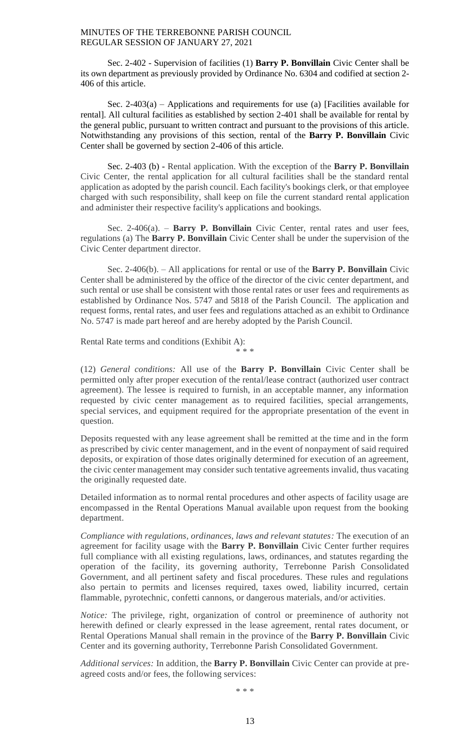Sec. 2-402 - Supervision of facilities (1) **Barry P. Bonvillain** Civic Center shall be its own department as previously provided by Ordinance No. 6304 and codified at section 2- 406 of this article.

Sec. 2-403(a) – Applications and requirements for use (a) [Facilities available for rental]. All cultural facilities as established by section 2-401 shall be available for rental by the general public, pursuant to written contract and pursuant to the provisions of this article. Notwithstanding any provisions of this section, rental of the **Barry P. Bonvillain** Civic Center shall be governed by section 2-406 of this article.

Sec. 2-403 (b) - Rental application. With the exception of the **Barry P. Bonvillain** Civic Center, the rental application for all cultural facilities shall be the standard rental application as adopted by the parish council. Each facility's bookings clerk, or that employee charged with such responsibility, shall keep on file the current standard rental application and administer their respective facility's applications and bookings.

Sec. 2-406(a). – **Barry P. Bonvillain** Civic Center, rental rates and user fees, regulations (a) The **Barry P. Bonvillain** Civic Center shall be under the supervision of the Civic Center department director.

Sec. 2-406(b). – All applications for rental or use of the **Barry P. Bonvillain** Civic Center shall be administered by the office of the director of the civic center department, and such rental or use shall be consistent with those rental rates or user fees and requirements as established by Ordinance Nos. 5747 and 5818 of the Parish Council. The application and request forms, rental rates, and user fees and regulations attached as an exhibit to Ordinance No. 5747 is made part hereof and are hereby adopted by the Parish Council.

Rental Rate terms and conditions (Exhibit A):

\* \* \*

(12) *General conditions:* All use of the **Barry P. Bonvillain** Civic Center shall be permitted only after proper execution of the rental/lease contract (authorized user contract agreement). The lessee is required to furnish, in an acceptable manner, any information requested by civic center management as to required facilities, special arrangements, special services, and equipment required for the appropriate presentation of the event in question.

Deposits requested with any lease agreement shall be remitted at the time and in the form as prescribed by civic center management, and in the event of nonpayment of said required deposits, or expiration of those dates originally determined for execution of an agreement, the civic center management may consider such tentative agreements invalid, thus vacating the originally requested date.

Detailed information as to normal rental procedures and other aspects of facility usage are encompassed in the Rental Operations Manual available upon request from the booking department.

*Compliance with regulations, ordinances, laws and relevant statutes:* The execution of an agreement for facility usage with the **Barry P. Bonvillain** Civic Center further requires full compliance with all existing regulations, laws, ordinances, and statutes regarding the operation of the facility, its governing authority, Terrebonne Parish Consolidated Government, and all pertinent safety and fiscal procedures. These rules and regulations also pertain to permits and licenses required, taxes owed, liability incurred, certain flammable, pyrotechnic, confetti cannons, or dangerous materials, and/or activities.

*Notice:* The privilege, right, organization of control or preeminence of authority not herewith defined or clearly expressed in the lease agreement, rental rates document, or Rental Operations Manual shall remain in the province of the **Barry P. Bonvillain** Civic Center and its governing authority, Terrebonne Parish Consolidated Government.

*Additional services:* In addition, the **Barry P. Bonvillain** Civic Center can provide at preagreed costs and/or fees, the following services:

\* \* \*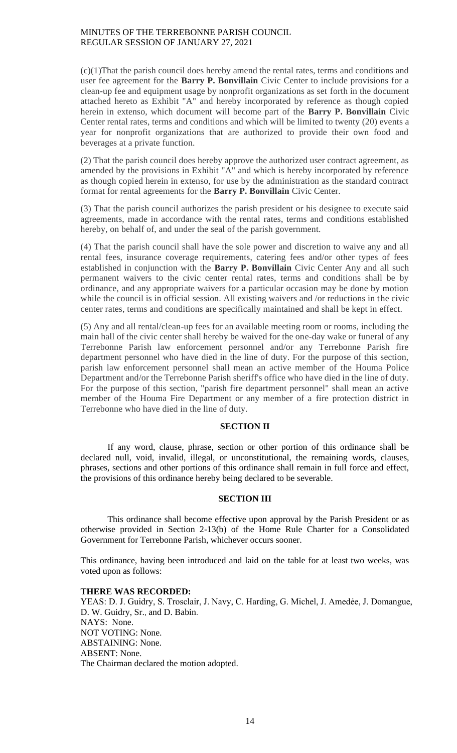(c)(1)That the parish council does hereby amend the rental rates, terms and conditions and user fee agreement for the **Barry P. Bonvillain** Civic Center to include provisions for a clean-up fee and equipment usage by nonprofit organizations as set forth in the document attached hereto as Exhibit "A" and hereby incorporated by reference as though copied herein in extenso, which document will become part of the **Barry P. Bonvillain** Civic Center rental rates, terms and conditions and which will be limited to twenty (20) events a year for nonprofit organizations that are authorized to provide their own food and beverages at a private function.

(2) That the parish council does hereby approve the authorized user contract agreement, as amended by the provisions in Exhibit "A" and which is hereby incorporated by reference as though copied herein in extenso, for use by the administration as the standard contract format for rental agreements for the **Barry P. Bonvillain** Civic Center.

(3) That the parish council authorizes the parish president or his designee to execute said agreements, made in accordance with the rental rates, terms and conditions established hereby, on behalf of, and under the seal of the parish government.

(4) That the parish council shall have the sole power and discretion to waive any and all rental fees, insurance coverage requirements, catering fees and/or other types of fees established in conjunction with the **Barry P. Bonvillain** Civic Center Any and all such permanent waivers to the civic center rental rates, terms and conditions shall be by ordinance, and any appropriate waivers for a particular occasion may be done by motion while the council is in official session. All existing waivers and /or reductions in the civic center rates, terms and conditions are specifically maintained and shall be kept in effect.

(5) Any and all rental/clean-up fees for an available meeting room or rooms, including the main hall of the civic center shall hereby be waived for the one-day wake or funeral of any Terrebonne Parish law enforcement personnel and/or any Terrebonne Parish fire department personnel who have died in the line of duty. For the purpose of this section, parish law enforcement personnel shall mean an active member of the Houma Police Department and/or the Terrebonne Parish sheriff's office who have died in the line of duty. For the purpose of this section, "parish fire department personnel" shall mean an active member of the Houma Fire Department or any member of a fire protection district in Terrebonne who have died in the line of duty.

# **SECTION II**

If any word, clause, phrase, section or other portion of this ordinance shall be declared null, void, invalid, illegal, or unconstitutional, the remaining words, clauses, phrases, sections and other portions of this ordinance shall remain in full force and effect, the provisions of this ordinance hereby being declared to be severable.

# **SECTION III**

This ordinance shall become effective upon approval by the Parish President or as otherwise provided in Section 2-13(b) of the Home Rule Charter for a Consolidated Government for Terrebonne Parish, whichever occurs sooner.

This ordinance, having been introduced and laid on the table for at least two weeks, was voted upon as follows:

#### **THERE WAS RECORDED:**

YEAS: D. J. Guidry, S. Trosclair, J. Navy, C. Harding, G. Michel, J. Amedée, J. Domangue, D. W. Guidry, Sr., and D. Babin. NAYS: None. NOT VOTING: None. ABSTAINING: None. ABSENT: None. The Chairman declared the motion adopted.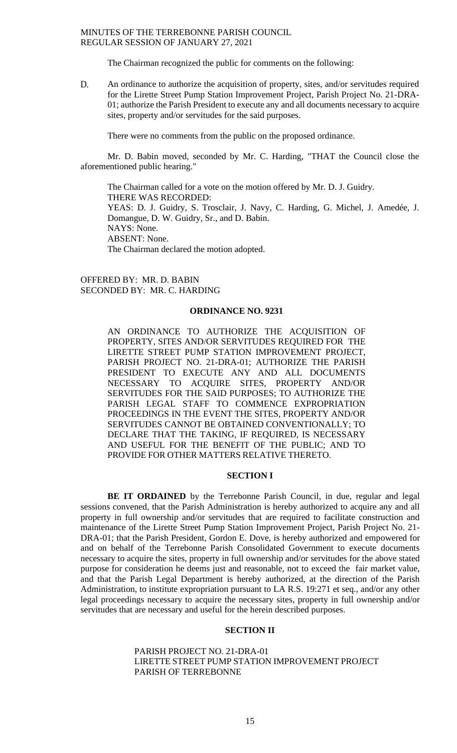The Chairman recognized the public for comments on the following:

D. An ordinance to authorize the acquisition of property, sites, and/or servitudes required for the Lirette Street Pump Station Improvement Project, Parish Project No. 21-DRA-01; authorize the Parish President to execute any and all documents necessary to acquire sites, property and/or servitudes for the said purposes.

There were no comments from the public on the proposed ordinance.

Mr. D. Babin moved, seconded by Mr. C. Harding, "THAT the Council close the aforementioned public hearing."

The Chairman called for a vote on the motion offered by Mr. D. J. Guidry. THERE WAS RECORDED: YEAS: D. J. Guidry, S. Trosclair, J. Navy, C. Harding, G. Michel, J. Amedée, J. Domangue, D. W. Guidry, Sr., and D. Babin. NAYS: None. ABSENT: None. The Chairman declared the motion adopted.

OFFERED BY: MR. D. BABIN SECONDED BY: MR. C. HARDING

#### **ORDINANCE NO. 9231**

AN ORDINANCE TO AUTHORIZE THE ACQUISITION OF PROPERTY, SITES AND/OR SERVITUDES REQUIRED FOR THE LIRETTE STREET PUMP STATION IMPROVEMENT PROJECT, PARISH PROJECT NO. 21-DRA-01; AUTHORIZE THE PARISH PRESIDENT TO EXECUTE ANY AND ALL DOCUMENTS NECESSARY TO ACQUIRE SITES, PROPERTY AND/OR SERVITUDES FOR THE SAID PURPOSES; TO AUTHORIZE THE PARISH LEGAL STAFF TO COMMENCE EXPROPRIATION PROCEEDINGS IN THE EVENT THE SITES, PROPERTY AND/OR SERVITUDES CANNOT BE OBTAINED CONVENTIONALLY; TO DECLARE THAT THE TAKING, IF REQUIRED, IS NECESSARY AND USEFUL FOR THE BENEFIT OF THE PUBLIC; AND TO PROVIDE FOR OTHER MATTERS RELATIVE THERETO.

#### **SECTION I**

**BE IT ORDAINED** by the Terrebonne Parish Council, in due, regular and legal sessions convened, that the Parish Administration is hereby authorized to acquire any and all property in full ownership and/or servitudes that are required to facilitate construction and maintenance of the Lirette Street Pump Station Improvement Project, Parish Project No. 21- DRA-01; that the Parish President, Gordon E. Dove, is hereby authorized and empowered for and on behalf of the Terrebonne Parish Consolidated Government to execute documents necessary to acquire the sites, property in full ownership and/or servitudes for the above stated purpose for consideration he deems just and reasonable, not to exceed the fair market value, and that the Parish Legal Department is hereby authorized, at the direction of the Parish Administration, to institute expropriation pursuant to LA R.S. 19:271 et seq., and/or any other legal proceedings necessary to acquire the necessary sites, property in full ownership and/or servitudes that are necessary and useful for the herein described purposes.

### **SECTION II**

PARISH PROJECT NO. 21-DRA-01 LIRETTE STREET PUMP STATION IMPROVEMENT PROJECT PARISH OF TERREBONNE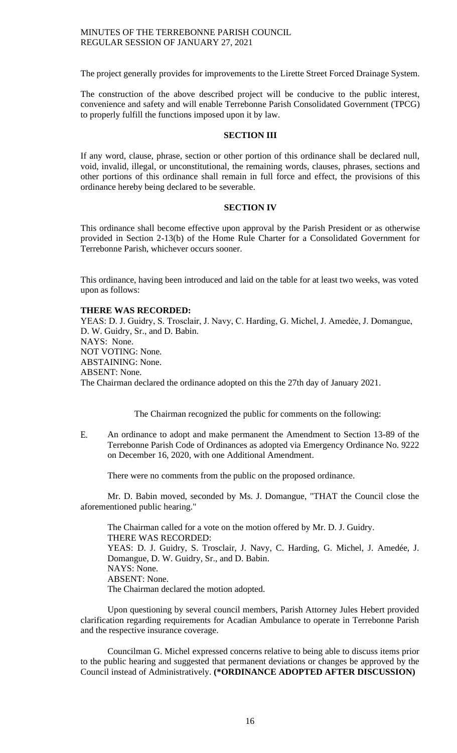The project generally provides for improvements to the Lirette Street Forced Drainage System.

The construction of the above described project will be conducive to the public interest, convenience and safety and will enable Terrebonne Parish Consolidated Government (TPCG) to properly fulfill the functions imposed upon it by law.

#### **SECTION III**

If any word, clause, phrase, section or other portion of this ordinance shall be declared null, void, invalid, illegal, or unconstitutional, the remaining words, clauses, phrases, sections and other portions of this ordinance shall remain in full force and effect, the provisions of this ordinance hereby being declared to be severable.

#### **SECTION IV**

This ordinance shall become effective upon approval by the Parish President or as otherwise provided in Section 2-13(b) of the Home Rule Charter for a Consolidated Government for Terrebonne Parish, whichever occurs sooner.

This ordinance, having been introduced and laid on the table for at least two weeks, was voted upon as follows:

### **THERE WAS RECORDED:**

YEAS: D. J. Guidry, S. Trosclair, J. Navy, C. Harding, G. Michel, J. Amedẻe, J. Domangue, D. W. Guidry, Sr., and D. Babin. NAYS: None. NOT VOTING: None. ABSTAINING: None. ABSENT: None. The Chairman declared the ordinance adopted on this the 27th day of January 2021.

The Chairman recognized the public for comments on the following:

E. An ordinance to adopt and make permanent the Amendment to Section 13-89 of the Terrebonne Parish Code of Ordinances as adopted via Emergency Ordinance No. 9222 on December 16, 2020, with one Additional Amendment.

There were no comments from the public on the proposed ordinance.

Mr. D. Babin moved, seconded by Ms. J. Domangue, "THAT the Council close the aforementioned public hearing."

The Chairman called for a vote on the motion offered by Mr. D. J. Guidry. THERE WAS RECORDED: YEAS: D. J. Guidry, S. Trosclair, J. Navy, C. Harding, G. Michel, J. Amedée, J. Domangue, D. W. Guidry, Sr., and D. Babin. NAYS: None. ABSENT: None. The Chairman declared the motion adopted.

Upon questioning by several council members, Parish Attorney Jules Hebert provided clarification regarding requirements for Acadian Ambulance to operate in Terrebonne Parish and the respective insurance coverage.

Councilman G. Michel expressed concerns relative to being able to discuss items prior to the public hearing and suggested that permanent deviations or changes be approved by the Council instead of Administratively. **(\*ORDINANCE ADOPTED AFTER DISCUSSION)**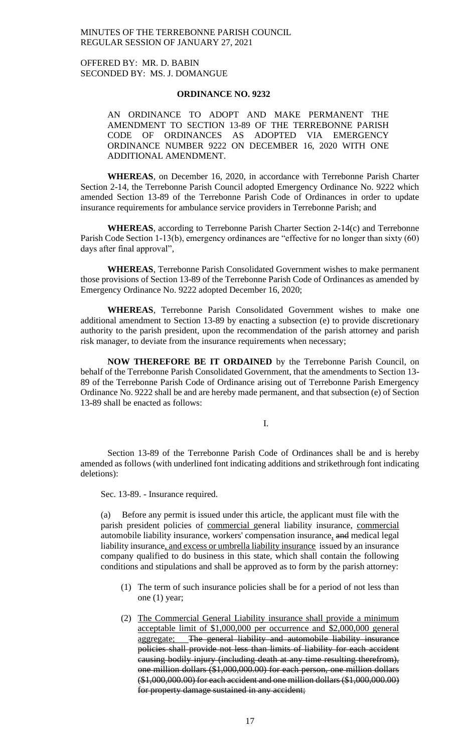OFFERED BY: MR. D. BABIN SECONDED BY: MS. J. DOMANGUE

#### **ORDINANCE NO. 9232**

AN ORDINANCE TO ADOPT AND MAKE PERMANENT THE AMENDMENT TO SECTION 13-89 OF THE TERREBONNE PARISH CODE OF ORDINANCES AS ADOPTED VIA EMERGENCY ORDINANCE NUMBER 9222 ON DECEMBER 16, 2020 WITH ONE ADDITIONAL AMENDMENT.

**WHEREAS**, on December 16, 2020, in accordance with Terrebonne Parish Charter Section 2-14, the Terrebonne Parish Council adopted Emergency Ordinance No. 9222 which amended Section 13-89 of the Terrebonne Parish Code of Ordinances in order to update insurance requirements for ambulance service providers in Terrebonne Parish; and

**WHEREAS**, according to Terrebonne Parish Charter Section 2-14(c) and Terrebonne Parish Code Section 1-13(b), emergency ordinances are "effective for no longer than sixty (60) days after final approval",

**WHEREAS**, Terrebonne Parish Consolidated Government wishes to make permanent those provisions of Section 13-89 of the Terrebonne Parish Code of Ordinances as amended by Emergency Ordinance No. 9222 adopted December 16, 2020;

**WHEREAS**, Terrebonne Parish Consolidated Government wishes to make one additional amendment to Section 13-89 by enacting a subsection (e) to provide discretionary authority to the parish president, upon the recommendation of the parish attorney and parish risk manager, to deviate from the insurance requirements when necessary;

**NOW THEREFORE BE IT ORDAINED** by the Terrebonne Parish Council, on behalf of the Terrebonne Parish Consolidated Government, that the amendments to Section 13- 89 of the Terrebonne Parish Code of Ordinance arising out of Terrebonne Parish Emergency Ordinance No. 9222 shall be and are hereby made permanent, and that subsection (e) of Section 13-89 shall be enacted as follows:

I.

Section 13-89 of the Terrebonne Parish Code of Ordinances shall be and is hereby amended as follows (with underlined font indicating additions and strikethrough font indicating deletions):

Sec. 13-89. - Insurance required.

(a) Before any permit is issued under this article, the applicant must file with the parish president policies of commercial general liability insurance, commercial automobile liability insurance, workers' compensation insurance, and medical legal liability insurance, and excess or umbrella liability insurance issued by an insurance company qualified to do business in this state, which shall contain the following conditions and stipulations and shall be approved as to form by the parish attorney:

- (1) The term of such insurance policies shall be for a period of not less than one (1) year;
- (2) The Commercial General Liability insurance shall provide a minimum acceptable limit of \$1,000,000 per occurrence and \$2,000,000 general aggregate; The general liability and automobile liability insurance policies shall provide not less than limits of liability for each accident causing bodily injury (including death at any time resulting therefrom), one million dollars (\$1,000,000.00) for each person, one million dollars (\$1,000,000.00) for each accident and one million dollars (\$1,000,000.00) for property damage sustained in any accident;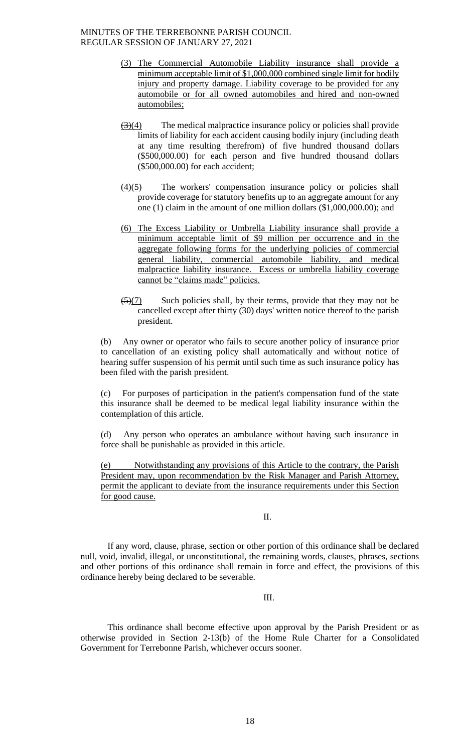- (3) The Commercial Automobile Liability insurance shall provide a minimum acceptable limit of \$1,000,000 combined single limit for bodily injury and property damage. Liability coverage to be provided for any automobile or for all owned automobiles and hired and non-owned automobiles;
- $\left(\frac{3}{4}\right)$  The medical malpractice insurance policy or policies shall provide limits of liability for each accident causing bodily injury (including death at any time resulting therefrom) of five hundred thousand dollars (\$500,000.00) for each person and five hundred thousand dollars (\$500,000.00) for each accident;
- $\frac{(4)(5)}{2}$  The workers' compensation insurance policy or policies shall provide coverage for statutory benefits up to an aggregate amount for any one (1) claim in the amount of one million dollars (\$1,000,000.00); and
- (6) The Excess Liability or Umbrella Liability insurance shall provide a minimum acceptable limit of \$9 million per occurrence and in the aggregate following forms for the underlying policies of commercial general liability, commercial automobile liability, and medical malpractice liability insurance. Excess or umbrella liability coverage cannot be "claims made" policies.
- $\frac{5(7)}{2}$  Such policies shall, by their terms, provide that they may not be cancelled except after thirty (30) days' written notice thereof to the parish president.

(b) Any owner or operator who fails to secure another policy of insurance prior to cancellation of an existing policy shall automatically and without notice of hearing suffer suspension of his permit until such time as such insurance policy has been filed with the parish president.

(c) For purposes of participation in the patient's compensation fund of the state this insurance shall be deemed to be medical legal liability insurance within the contemplation of this article.

(d) Any person who operates an ambulance without having such insurance in force shall be punishable as provided in this article.

(e) Notwithstanding any provisions of this Article to the contrary, the Parish President may, upon recommendation by the Risk Manager and Parish Attorney, permit the applicant to deviate from the insurance requirements under this Section for good cause.

# II.

If any word, clause, phrase, section or other portion of this ordinance shall be declared null, void, invalid, illegal, or unconstitutional, the remaining words, clauses, phrases, sections and other portions of this ordinance shall remain in force and effect, the provisions of this ordinance hereby being declared to be severable.

III.

This ordinance shall become effective upon approval by the Parish President or as otherwise provided in Section 2-13(b) of the Home Rule Charter for a Consolidated Government for Terrebonne Parish, whichever occurs sooner.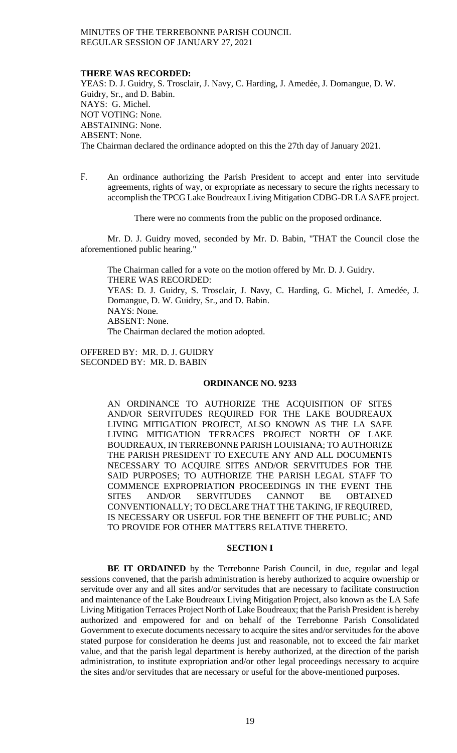#### **THERE WAS RECORDED:**

YEAS: D. J. Guidry, S. Trosclair, J. Navy, C. Harding, J. Amedée, J. Domangue, D. W. Guidry, Sr., and D. Babin. NAYS: G. Michel. NOT VOTING: None. ABSTAINING: None. ABSENT: None. The Chairman declared the ordinance adopted on this the 27th day of January 2021.

F. An ordinance authorizing the Parish President to accept and enter into servitude agreements, rights of way, or expropriate as necessary to secure the rights necessary to accomplish the TPCG Lake Boudreaux Living Mitigation CDBG-DR LA SAFE project.

There were no comments from the public on the proposed ordinance.

Mr. D. J. Guidry moved, seconded by Mr. D. Babin, "THAT the Council close the aforementioned public hearing."

The Chairman called for a vote on the motion offered by Mr. D. J. Guidry. THERE WAS RECORDED: YEAS: D. J. Guidry, S. Trosclair, J. Navy, C. Harding, G. Michel, J. Amedée, J. Domangue, D. W. Guidry, Sr., and D. Babin. NAYS: None. ABSENT: None. The Chairman declared the motion adopted.

OFFERED BY: MR. D. J. GUIDRY SECONDED BY: MR. D. BABIN

# **ORDINANCE NO. 9233**

AN ORDINANCE TO AUTHORIZE THE ACQUISITION OF SITES AND/OR SERVITUDES REQUIRED FOR THE LAKE BOUDREAUX LIVING MITIGATION PROJECT, ALSO KNOWN AS THE LA SAFE LIVING MITIGATION TERRACES PROJECT NORTH OF LAKE BOUDREAUX, IN TERREBONNE PARISH LOUISIANA; TO AUTHORIZE THE PARISH PRESIDENT TO EXECUTE ANY AND ALL DOCUMENTS NECESSARY TO ACQUIRE SITES AND/OR SERVITUDES FOR THE SAID PURPOSES; TO AUTHORIZE THE PARISH LEGAL STAFF TO COMMENCE EXPROPRIATION PROCEEDINGS IN THE EVENT THE SITES AND/OR SERVITUDES CANNOT BE OBTAINED CONVENTIONALLY; TO DECLARE THAT THE TAKING, IF REQUIRED, IS NECESSARY OR USEFUL FOR THE BENEFIT OF THE PUBLIC; AND TO PROVIDE FOR OTHER MATTERS RELATIVE THERETO.

### **SECTION I**

**BE IT ORDAINED** by the Terrebonne Parish Council, in due, regular and legal sessions convened, that the parish administration is hereby authorized to acquire ownership or servitude over any and all sites and/or servitudes that are necessary to facilitate construction and maintenance of the Lake Boudreaux Living Mitigation Project, also known as the LA Safe Living Mitigation Terraces Project North of Lake Boudreaux; that the Parish President is hereby authorized and empowered for and on behalf of the Terrebonne Parish Consolidated Government to execute documents necessary to acquire the sites and/or servitudes for the above stated purpose for consideration he deems just and reasonable, not to exceed the fair market value, and that the parish legal department is hereby authorized, at the direction of the parish administration, to institute expropriation and/or other legal proceedings necessary to acquire the sites and/or servitudes that are necessary or useful for the above-mentioned purposes.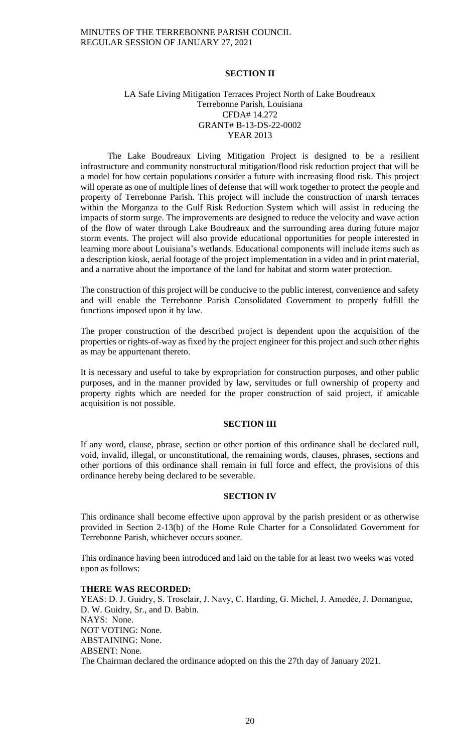# **SECTION II**

# LA Safe Living Mitigation Terraces Project North of Lake Boudreaux Terrebonne Parish, Louisiana CFDA# 14.272 GRANT# B-13-DS-22-0002 YEAR 2013

The Lake Boudreaux Living Mitigation Project is designed to be a resilient infrastructure and community nonstructural mitigation/flood risk reduction project that will be a model for how certain populations consider a future with increasing flood risk. This project will operate as one of multiple lines of defense that will work together to protect the people and property of Terrebonne Parish. This project will include the construction of marsh terraces within the Morganza to the Gulf Risk Reduction System which will assist in reducing the impacts of storm surge. The improvements are designed to reduce the velocity and wave action of the flow of water through Lake Boudreaux and the surrounding area during future major storm events. The project will also provide educational opportunities for people interested in learning more about Louisiana's wetlands. Educational components will include items such as a description kiosk, aerial footage of the project implementation in a video and in print material, and a narrative about the importance of the land for habitat and storm water protection.

The construction of this project will be conducive to the public interest, convenience and safety and will enable the Terrebonne Parish Consolidated Government to properly fulfill the functions imposed upon it by law.

The proper construction of the described project is dependent upon the acquisition of the properties or rights-of-way as fixed by the project engineer for this project and such other rights as may be appurtenant thereto.

It is necessary and useful to take by expropriation for construction purposes, and other public purposes, and in the manner provided by law, servitudes or full ownership of property and property rights which are needed for the proper construction of said project, if amicable acquisition is not possible.

### **SECTION III**

If any word, clause, phrase, section or other portion of this ordinance shall be declared null, void, invalid, illegal, or unconstitutional, the remaining words, clauses, phrases, sections and other portions of this ordinance shall remain in full force and effect, the provisions of this ordinance hereby being declared to be severable.

#### **SECTION IV**

This ordinance shall become effective upon approval by the parish president or as otherwise provided in Section 2-13(b) of the Home Rule Charter for a Consolidated Government for Terrebonne Parish, whichever occurs sooner.

This ordinance having been introduced and laid on the table for at least two weeks was voted upon as follows:

### **THERE WAS RECORDED:**

YEAS: D. J. Guidry, S. Trosclair, J. Navy, C. Harding, G. Michel, J. Amedée, J. Domangue, D. W. Guidry, Sr., and D. Babin. NAYS: None. NOT VOTING: None. ABSTAINING: None. ABSENT: None. The Chairman declared the ordinance adopted on this the 27th day of January 2021.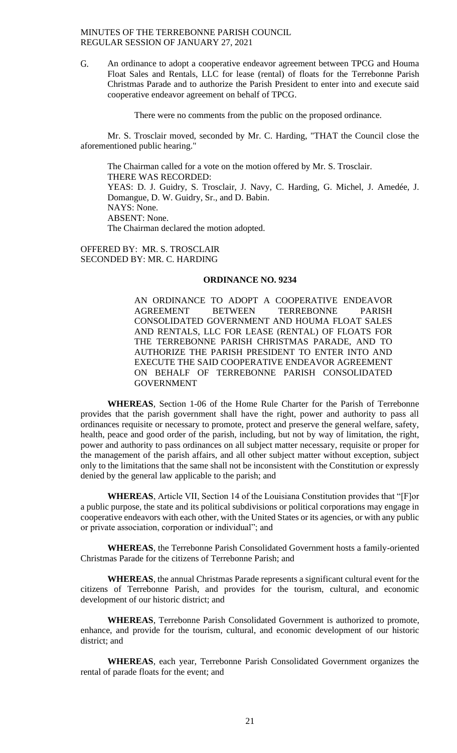G. An ordinance to adopt a cooperative endeavor agreement between TPCG and Houma Float Sales and Rentals, LLC for lease (rental) of floats for the Terrebonne Parish Christmas Parade and to authorize the Parish President to enter into and execute said cooperative endeavor agreement on behalf of TPCG.

There were no comments from the public on the proposed ordinance.

Mr. S. Trosclair moved, seconded by Mr. C. Harding, "THAT the Council close the aforementioned public hearing."

The Chairman called for a vote on the motion offered by Mr. S. Trosclair. THERE WAS RECORDED: YEAS: D. J. Guidry, S. Trosclair, J. Navy, C. Harding, G. Michel, J. Amedée, J. Domangue, D. W. Guidry, Sr., and D. Babin. NAYS: None. ABSENT: None. The Chairman declared the motion adopted.

OFFERED BY: MR. S. TROSCLAIR SECONDED BY: MR. C. HARDING

# **ORDINANCE NO. 9234**

AN ORDINANCE TO ADOPT A COOPERATIVE ENDEAVOR AGREEMENT BETWEEN TERREBONNE PARISH CONSOLIDATED GOVERNMENT AND HOUMA FLOAT SALES AND RENTALS, LLC FOR LEASE (RENTAL) OF FLOATS FOR THE TERREBONNE PARISH CHRISTMAS PARADE, AND TO AUTHORIZE THE PARISH PRESIDENT TO ENTER INTO AND EXECUTE THE SAID COOPERATIVE ENDEAVOR AGREEMENT ON BEHALF OF TERREBONNE PARISH CONSOLIDATED **GOVERNMENT** 

**WHEREAS**, Section 1-06 of the Home Rule Charter for the Parish of Terrebonne provides that the parish government shall have the right, power and authority to pass all ordinances requisite or necessary to promote, protect and preserve the general welfare, safety, health, peace and good order of the parish, including, but not by way of limitation, the right, power and authority to pass ordinances on all subject matter necessary, requisite or proper for the management of the parish affairs, and all other subject matter without exception, subject only to the limitations that the same shall not be inconsistent with the Constitution or expressly denied by the general law applicable to the parish; and

**WHEREAS**, Article VII, Section 14 of the Louisiana Constitution provides that "[F]or a public purpose, the state and its political subdivisions or political corporations may engage in cooperative endeavors with each other, with the United States or its agencies, or with any public or private association, corporation or individual"; and

**WHEREAS**, the Terrebonne Parish Consolidated Government hosts a family-oriented Christmas Parade for the citizens of Terrebonne Parish; and

**WHEREAS**, the annual Christmas Parade represents a significant cultural event for the citizens of Terrebonne Parish, and provides for the tourism, cultural, and economic development of our historic district; and

**WHEREAS**, Terrebonne Parish Consolidated Government is authorized to promote, enhance, and provide for the tourism, cultural, and economic development of our historic district; and

**WHEREAS**, each year, Terrebonne Parish Consolidated Government organizes the rental of parade floats for the event; and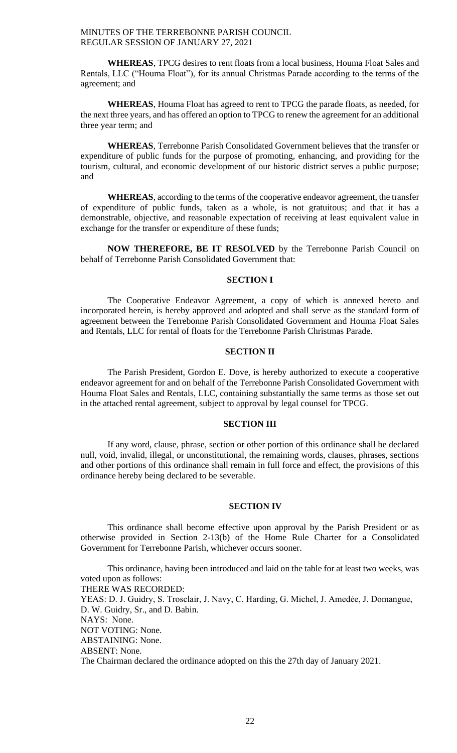**WHEREAS**, TPCG desires to rent floats from a local business, Houma Float Sales and Rentals, LLC ("Houma Float"), for its annual Christmas Parade according to the terms of the agreement; and

**WHEREAS**, Houma Float has agreed to rent to TPCG the parade floats, as needed, for the next three years, and has offered an option to TPCG to renew the agreement for an additional three year term; and

**WHEREAS**, Terrebonne Parish Consolidated Government believes that the transfer or expenditure of public funds for the purpose of promoting, enhancing, and providing for the tourism, cultural, and economic development of our historic district serves a public purpose; and

**WHEREAS**, according to the terms of the cooperative endeavor agreement, the transfer of expenditure of public funds, taken as a whole, is not gratuitous; and that it has a demonstrable, objective, and reasonable expectation of receiving at least equivalent value in exchange for the transfer or expenditure of these funds;

**NOW THEREFORE, BE IT RESOLVED** by the Terrebonne Parish Council on behalf of Terrebonne Parish Consolidated Government that:

# **SECTION I**

The Cooperative Endeavor Agreement, a copy of which is annexed hereto and incorporated herein, is hereby approved and adopted and shall serve as the standard form of agreement between the Terrebonne Parish Consolidated Government and Houma Float Sales and Rentals, LLC for rental of floats for the Terrebonne Parish Christmas Parade.

# **SECTION II**

The Parish President, Gordon E. Dove, is hereby authorized to execute a cooperative endeavor agreement for and on behalf of the Terrebonne Parish Consolidated Government with Houma Float Sales and Rentals, LLC, containing substantially the same terms as those set out in the attached rental agreement, subject to approval by legal counsel for TPCG.

### **SECTION III**

If any word, clause, phrase, section or other portion of this ordinance shall be declared null, void, invalid, illegal, or unconstitutional, the remaining words, clauses, phrases, sections and other portions of this ordinance shall remain in full force and effect, the provisions of this ordinance hereby being declared to be severable.

#### **SECTION IV**

This ordinance shall become effective upon approval by the Parish President or as otherwise provided in Section 2-13(b) of the Home Rule Charter for a Consolidated Government for Terrebonne Parish, whichever occurs sooner.

This ordinance, having been introduced and laid on the table for at least two weeks, was voted upon as follows: THERE WAS RECORDED: YEAS: D. J. Guidry, S. Trosclair, J. Navy, C. Harding, G. Michel, J. Amedée, J. Domangue, D. W. Guidry, Sr., and D. Babin. NAYS: None. NOT VOTING: None. ABSTAINING: None. ABSENT: None. The Chairman declared the ordinance adopted on this the 27th day of January 2021.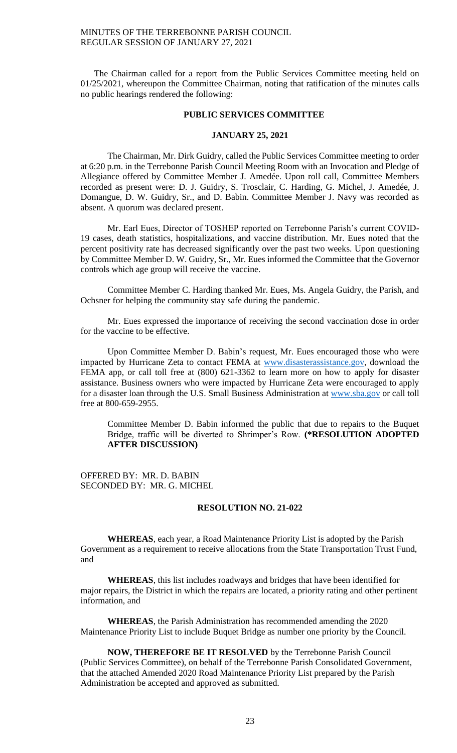The Chairman called for a report from the Public Services Committee meeting held on 01/25/2021, whereupon the Committee Chairman, noting that ratification of the minutes calls no public hearings rendered the following:

#### **PUBLIC SERVICES COMMITTEE**

#### **JANUARY 25, 2021**

The Chairman, Mr. Dirk Guidry, called the Public Services Committee meeting to order at 6:20 p.m. in the Terrebonne Parish Council Meeting Room with an Invocation and Pledge of Allegiance offered by Committee Member J. Amedée. Upon roll call, Committee Members recorded as present were: D. J. Guidry, S. Trosclair, C. Harding, G. Michel, J. Amedée, J. Domangue, D. W. Guidry, Sr., and D. Babin. Committee Member J. Navy was recorded as absent. A quorum was declared present.

Mr. Earl Eues, Director of TOSHEP reported on Terrebonne Parish's current COVID-19 cases, death statistics, hospitalizations, and vaccine distribution. Mr. Eues noted that the percent positivity rate has decreased significantly over the past two weeks. Upon questioning by Committee Member D. W. Guidry, Sr., Mr. Eues informed the Committee that the Governor controls which age group will receive the vaccine.

Committee Member C. Harding thanked Mr. Eues, Ms. Angela Guidry, the Parish, and Ochsner for helping the community stay safe during the pandemic.

Mr. Eues expressed the importance of receiving the second vaccination dose in order for the vaccine to be effective.

Upon Committee Member D. Babin's request, Mr. Eues encouraged those who were impacted by Hurricane Zeta to contact FEMA at [www.disasterassistance.gov,](http://www.disasterassistance.gov/) download the FEMA app, or call toll free at (800) 621-3362 to learn more on how to apply for disaster assistance. Business owners who were impacted by Hurricane Zeta were encouraged to apply for a disaster loan through the U.S. Small Business Administration at [www.sba.gov](http://www.sba.gov/) or call toll free at 800-659-2955.

Committee Member D. Babin informed the public that due to repairs to the Buquet Bridge, traffic will be diverted to Shrimper's Row. **(\*RESOLUTION ADOPTED AFTER DISCUSSION)**

OFFERED BY: MR. D. BABIN SECONDED BY: MR. G. MICHEL

#### **RESOLUTION NO. 21-022**

**WHEREAS**, each year, a Road Maintenance Priority List is adopted by the Parish Government as a requirement to receive allocations from the State Transportation Trust Fund, and

**WHEREAS**, this list includes roadways and bridges that have been identified for major repairs, the District in which the repairs are located, a priority rating and other pertinent information, and

**WHEREAS**, the Parish Administration has recommended amending the 2020 Maintenance Priority List to include Buquet Bridge as number one priority by the Council.

**NOW, THEREFORE BE IT RESOLVED** by the Terrebonne Parish Council (Public Services Committee), on behalf of the Terrebonne Parish Consolidated Government, that the attached Amended 2020 Road Maintenance Priority List prepared by the Parish Administration be accepted and approved as submitted.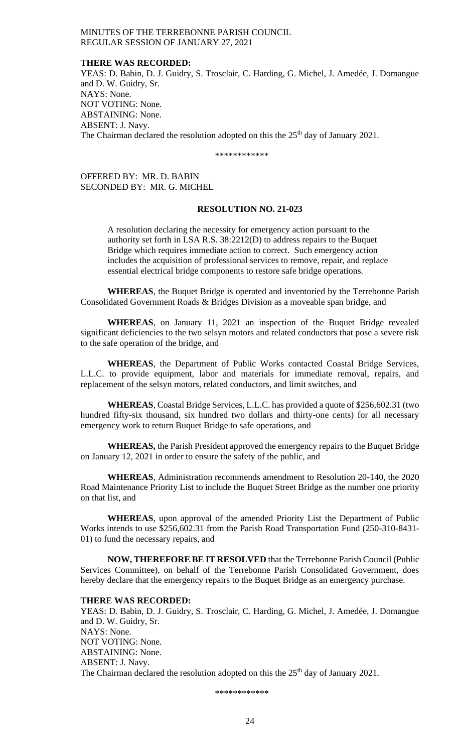#### **THERE WAS RECORDED:**

YEAS: D. Babin, D. J. Guidry, S. Trosclair, C. Harding, G. Michel, J. Amedée, J. Domangue and D. W. Guidry, Sr. NAYS: None. NOT VOTING: None. ABSTAINING: None. ABSENT: J. Navy. The Chairman declared the resolution adopted on this the  $25<sup>th</sup>$  day of January 2021.

\*\*\*\*\*\*\*\*\*\*\*\*

OFFERED BY: MR. D. BABIN SECONDED BY: MR. G. MICHEL

#### **RESOLUTION NO. 21-023**

A resolution declaring the necessity for emergency action pursuant to the authority set forth in LSA R.S. 38:2212(D) to address repairs to the Buquet Bridge which requires immediate action to correct. Such emergency action includes the acquisition of professional services to remove, repair, and replace essential electrical bridge components to restore safe bridge operations.

**WHEREAS**, the Buquet Bridge is operated and inventoried by the Terrebonne Parish Consolidated Government Roads & Bridges Division as a moveable span bridge, and

**WHEREAS**, on January 11, 2021 an inspection of the Buquet Bridge revealed significant deficiencies to the two selsyn motors and related conductors that pose a severe risk to the safe operation of the bridge, and

**WHEREAS**, the Department of Public Works contacted Coastal Bridge Services, L.L.C. to provide equipment, labor and materials for immediate removal, repairs, and replacement of the selsyn motors, related conductors, and limit switches, and

**WHEREAS**, Coastal Bridge Services, L.L.C. has provided a quote of \$256,602.31 (two hundred fifty-six thousand, six hundred two dollars and thirty-one cents) for all necessary emergency work to return Buquet Bridge to safe operations, and

**WHEREAS,** the Parish President approved the emergency repairs to the Buquet Bridge on January 12, 2021 in order to ensure the safety of the public, and

**WHEREAS**, Administration recommends amendment to Resolution 20-140, the 2020 Road Maintenance Priority List to include the Buquet Street Bridge as the number one priority on that list, and

**WHEREAS**, upon approval of the amended Priority List the Department of Public Works intends to use \$256,602.31 from the Parish Road Transportation Fund (250-310-8431- 01) to fund the necessary repairs, and

**NOW, THEREFORE BE IT RESOLVED** that the Terrebonne Parish Council (Public Services Committee), on behalf of the Terrebonne Parish Consolidated Government, does hereby declare that the emergency repairs to the Buquet Bridge as an emergency purchase.

# **THERE WAS RECORDED:**

YEAS: D. Babin, D. J. Guidry, S. Trosclair, C. Harding, G. Michel, J. Amedée, J. Domangue and D. W. Guidry, Sr. NAYS: None. NOT VOTING: None. ABSTAINING: None. ABSENT: J. Navy. The Chairman declared the resolution adopted on this the  $25<sup>th</sup>$  day of January 2021.

\*\*\*\*\*\*\*\*\*\*\*\*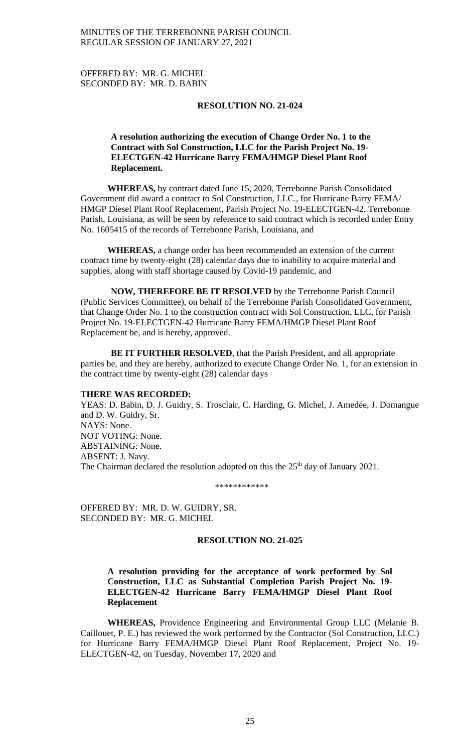OFFERED BY: MR. G. MICHEL SECONDED BY: MR. D. BABIN

#### **RESOLUTION NO. 21-024**

# **A resolution authorizing the execution of Change Order No. 1 to the Contract with Sol Construction, LLC for the Parish Project No. 19- ELECTGEN-42 Hurricane Barry FEMA/HMGP Diesel Plant Roof Replacement.**

**WHEREAS,** by contract dated June 15, 2020, Terrebonne Parish Consolidated Government did award a contract to Sol Construction, LLC., for Hurricane Barry FEMA/ HMGP Diesel Plant Roof Replacement, Parish Project No. 19-ELECTGEN-42, Terrebonne Parish, Louisiana, as will be seen by reference to said contract which is recorded under Entry No. 1605415 of the records of Terrebonne Parish, Louisiana, and

**WHEREAS,** a change order has been recommended an extension of the current contract time by twenty-eight (28) calendar days due to inability to acquire material and supplies, along with staff shortage caused by Covid-19 pandemic, and

**NOW, THEREFORE BE IT RESOLVED** by the Terrebonne Parish Council (Public Services Committee), on behalf of the Terrebonne Parish Consolidated Government, that Change Order No. 1 to the construction contract with Sol Construction, LLC, for Parish Project No. 19-ELECTGEN-42 Hurricane Barry FEMA/HMGP Diesel Plant Roof Replacement be, and is hereby, approved.

**BE IT FURTHER RESOLVED**, that the Parish President, and all appropriate parties be, and they are hereby, authorized to execute Change Order No. 1, for an extension in the contract time by twenty-eight (28) calendar days

#### **THERE WAS RECORDED:**

YEAS: D. Babin, D. J. Guidry, S. Trosclair, C. Harding, G. Michel, J. Amedée, J. Domangue and D. W. Guidry, Sr. NAYS: None. NOT VOTING: None. ABSTAINING: None. ABSENT: J. Navy. The Chairman declared the resolution adopted on this the  $25<sup>th</sup>$  day of January 2021.

\*\*\*\*\*\*\*\*\*\*\*\*

OFFERED BY: MR. D. W. GUIDRY, SR. SECONDED BY: MR. G. MICHEL

#### **RESOLUTION NO. 21-025**

# **A resolution providing for the acceptance of work performed by Sol Construction, LLC as Substantial Completion Parish Project No. 19- ELECTGEN-42 Hurricane Barry FEMA/HMGP Diesel Plant Roof Replacement**

**WHEREAS,** Providence Engineering and Environmental Group LLC (Melanie B. Caillouet, P. E.) has reviewed the work performed by the Contractor (Sol Construction, LLC.) for Hurricane Barry FEMA/HMGP Diesel Plant Roof Replacement, Project No. 19- ELECTGEN-42, on Tuesday, November 17, 2020 and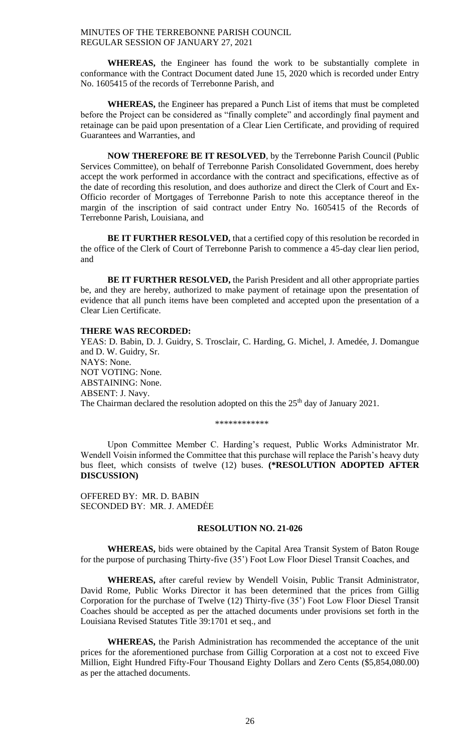**WHEREAS,** the Engineer has found the work to be substantially complete in conformance with the Contract Document dated June 15, 2020 which is recorded under Entry No. 1605415 of the records of Terrebonne Parish, and

**WHEREAS,** the Engineer has prepared a Punch List of items that must be completed before the Project can be considered as "finally complete" and accordingly final payment and retainage can be paid upon presentation of a Clear Lien Certificate, and providing of required Guarantees and Warranties, and

**NOW THEREFORE BE IT RESOLVED**, by the Terrebonne Parish Council (Public Services Committee), on behalf of Terrebonne Parish Consolidated Government, does hereby accept the work performed in accordance with the contract and specifications, effective as of the date of recording this resolution, and does authorize and direct the Clerk of Court and Ex-Officio recorder of Mortgages of Terrebonne Parish to note this acceptance thereof in the margin of the inscription of said contract under Entry No. 1605415 of the Records of Terrebonne Parish, Louisiana, and

**BE IT FURTHER RESOLVED,** that a certified copy of this resolution be recorded in the office of the Clerk of Court of Terrebonne Parish to commence a 45-day clear lien period, and

**BE IT FURTHER RESOLVED,** the Parish President and all other appropriate parties be, and they are hereby, authorized to make payment of retainage upon the presentation of evidence that all punch items have been completed and accepted upon the presentation of a Clear Lien Certificate.

# **THERE WAS RECORDED:**

YEAS: D. Babin, D. J. Guidry, S. Trosclair, C. Harding, G. Michel, J. Amedée, J. Domangue and D. W. Guidry, Sr. NAYS: None. NOT VOTING: None. ABSTAINING: None. ABSENT: J. Navy. The Chairman declared the resolution adopted on this the 25<sup>th</sup> day of January 2021.

\*\*\*\*\*\*\*\*\*\*\*\*

Upon Committee Member C. Harding's request, Public Works Administrator Mr. Wendell Voisin informed the Committee that this purchase will replace the Parish's heavy duty bus fleet, which consists of twelve (12) buses. **(\*RESOLUTION ADOPTED AFTER DISCUSSION)**

OFFERED BY: MR. D. BABIN SECONDED BY: MR. J. AMEDĖE

## **RESOLUTION NO. 21-026**

**WHEREAS,** bids were obtained by the Capital Area Transit System of Baton Rouge for the purpose of purchasing Thirty-five (35') Foot Low Floor Diesel Transit Coaches, and

**WHEREAS,** after careful review by Wendell Voisin, Public Transit Administrator, David Rome, Public Works Director it has been determined that the prices from Gillig Corporation for the purchase of Twelve (12) Thirty-five (35') Foot Low Floor Diesel Transit Coaches should be accepted as per the attached documents under provisions set forth in the Louisiana Revised Statutes Title 39:1701 et seq., and

**WHEREAS,** the Parish Administration has recommended the acceptance of the unit prices for the aforementioned purchase from Gillig Corporation at a cost not to exceed Five Million, Eight Hundred Fifty-Four Thousand Eighty Dollars and Zero Cents (\$5,854,080.00) as per the attached documents.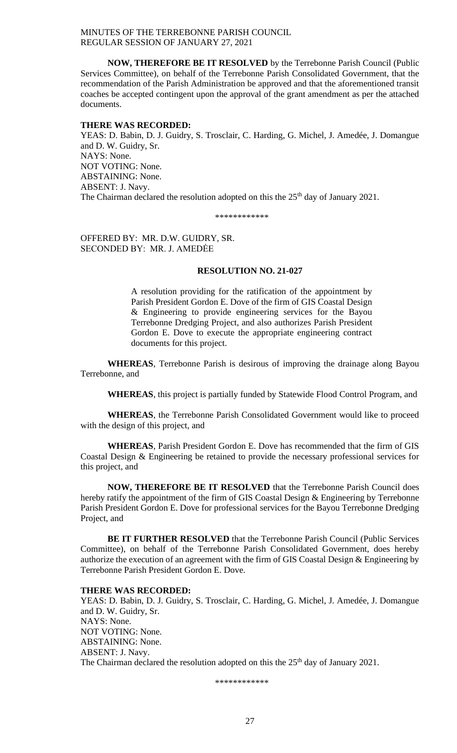**NOW, THEREFORE BE IT RESOLVED** by the Terrebonne Parish Council (Public Services Committee), on behalf of the Terrebonne Parish Consolidated Government, that the recommendation of the Parish Administration be approved and that the aforementioned transit coaches be accepted contingent upon the approval of the grant amendment as per the attached documents.

#### **THERE WAS RECORDED:**

YEAS: D. Babin, D. J. Guidry, S. Trosclair, C. Harding, G. Michel, J. Amedée, J. Domangue and D. W. Guidry, Sr. NAYS: None. NOT VOTING: None. ABSTAINING: None. ABSENT: J. Navy. The Chairman declared the resolution adopted on this the  $25<sup>th</sup>$  day of January 2021.

\*\*\*\*\*\*\*\*\*\*\*\*

OFFERED BY: MR. D.W. GUIDRY, SR. SECONDED BY: MR. J. AMEDĖE

#### **RESOLUTION NO. 21-027**

A resolution providing for the ratification of the appointment by Parish President Gordon E. Dove of the firm of GIS Coastal Design & Engineering to provide engineering services for the Bayou Terrebonne Dredging Project, and also authorizes Parish President Gordon E. Dove to execute the appropriate engineering contract documents for this project.

**WHEREAS**, Terrebonne Parish is desirous of improving the drainage along Bayou Terrebonne, and

**WHEREAS**, this project is partially funded by Statewide Flood Control Program, and

**WHEREAS**, the Terrebonne Parish Consolidated Government would like to proceed with the design of this project, and

**WHEREAS**, Parish President Gordon E. Dove has recommended that the firm of GIS Coastal Design & Engineering be retained to provide the necessary professional services for this project, and

**NOW, THEREFORE BE IT RESOLVED** that the Terrebonne Parish Council does hereby ratify the appointment of the firm of GIS Coastal Design & Engineering by Terrebonne Parish President Gordon E. Dove for professional services for the Bayou Terrebonne Dredging Project, and

**BE IT FURTHER RESOLVED** that the Terrebonne Parish Council (Public Services Committee), on behalf of the Terrebonne Parish Consolidated Government, does hereby authorize the execution of an agreement with the firm of GIS Coastal Design & Engineering by Terrebonne Parish President Gordon E. Dove.

#### **THERE WAS RECORDED:**

YEAS: D. Babin, D. J. Guidry, S. Trosclair, C. Harding, G. Michel, J. Amedée, J. Domangue and D. W. Guidry, Sr. NAYS: None. NOT VOTING: None. ABSTAINING: None. ABSENT: J. Navy. The Chairman declared the resolution adopted on this the 25<sup>th</sup> day of January 2021.

\*\*\*\*\*\*\*\*\*\*\*\*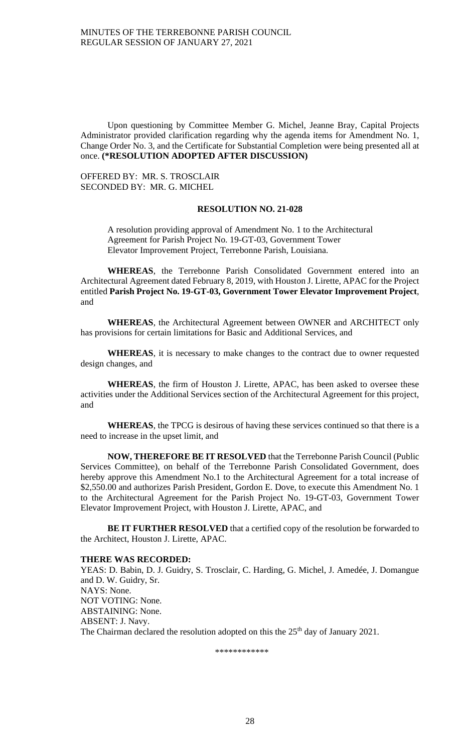Upon questioning by Committee Member G. Michel, Jeanne Bray, Capital Projects Administrator provided clarification regarding why the agenda items for Amendment No. 1, Change Order No. 3, and the Certificate for Substantial Completion were being presented all at once. **(\*RESOLUTION ADOPTED AFTER DISCUSSION)**

OFFERED BY: MR. S. TROSCLAIR SECONDED BY: MR. G. MICHEL

### **RESOLUTION NO. 21-028**

A resolution providing approval of Amendment No. 1 to the Architectural Agreement for Parish Project No. 19-GT-03, Government Tower Elevator Improvement Project, Terrebonne Parish, Louisiana.

**WHEREAS**, the Terrebonne Parish Consolidated Government entered into an Architectural Agreement dated February 8, 2019, with Houston J. Lirette, APAC for the Project entitled **Parish Project No. 19-GT-03, Government Tower Elevator Improvement Project**, and

**WHEREAS**, the Architectural Agreement between OWNER and ARCHITECT only has provisions for certain limitations for Basic and Additional Services, and

**WHEREAS**, it is necessary to make changes to the contract due to owner requested design changes, and

**WHEREAS**, the firm of Houston J. Lirette, APAC, has been asked to oversee these activities under the Additional Services section of the Architectural Agreement for this project, and

**WHEREAS**, the TPCG is desirous of having these services continued so that there is a need to increase in the upset limit, and

**NOW, THEREFORE BE IT RESOLVED** that the Terrebonne Parish Council (Public Services Committee), on behalf of the Terrebonne Parish Consolidated Government, does hereby approve this Amendment No.1 to the Architectural Agreement for a total increase of \$2,550.00 and authorizes Parish President, Gordon E. Dove, to execute this Amendment No. 1 to the Architectural Agreement for the Parish Project No. 19-GT-03, Government Tower Elevator Improvement Project, with Houston J. Lirette, APAC, and

**BE IT FURTHER RESOLVED** that a certified copy of the resolution be forwarded to the Architect, Houston J. Lirette, APAC.

#### **THERE WAS RECORDED:**

YEAS: D. Babin, D. J. Guidry, S. Trosclair, C. Harding, G. Michel, J. Amedée, J. Domangue and D. W. Guidry, Sr. NAYS: None. NOT VOTING: None. ABSTAINING: None. ABSENT: J. Navy. The Chairman declared the resolution adopted on this the  $25<sup>th</sup>$  day of January 2021.

\*\*\*\*\*\*\*\*\*\*\*\*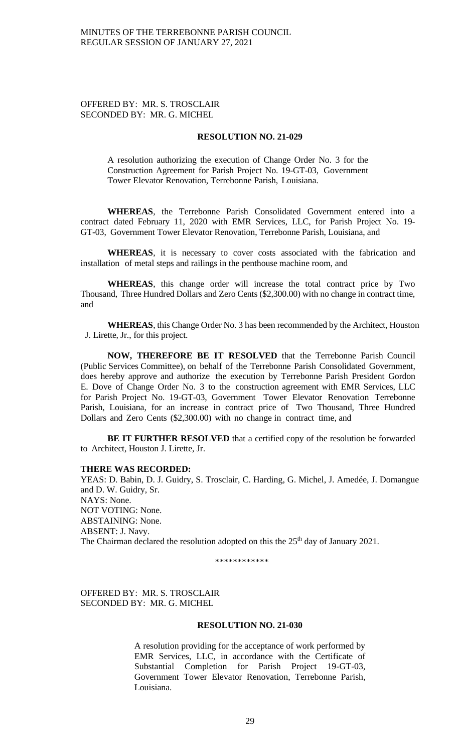# OFFERED BY: MR. S. TROSCLAIR SECONDED BY: MR. G. MICHEL

# **RESOLUTION NO. 21-029**

A resolution authorizing the execution of Change Order No. 3 for the Construction Agreement for Parish Project No. 19-GT-03, Government Tower Elevator Renovation, Terrebonne Parish, Louisiana.

**WHEREAS**, the Terrebonne Parish Consolidated Government entered into a contract dated February 11, 2020 with EMR Services, LLC, for Parish Project No. 19- GT-03, Government Tower Elevator Renovation, Terrebonne Parish, Louisiana, and

**WHEREAS**, it is necessary to cover costs associated with the fabrication and installation of metal steps and railings in the penthouse machine room, and

**WHEREAS**, this change order will increase the total contract price by Two Thousand, Three Hundred Dollars and Zero Cents (\$2,300.00) with no change in contract time, and

**WHEREAS**, this Change Order No. 3 has been recommended by the Architect, Houston J. Lirette, Jr., for this project.

**NOW, THEREFORE BE IT RESOLVED** that the Terrebonne Parish Council (Public Services Committee), on behalf of the Terrebonne Parish Consolidated Government, does hereby approve and authorize the execution by Terrebonne Parish President Gordon E. Dove of Change Order No. 3 to the construction agreement with EMR Services, LLC for Parish Project No. 19-GT-03, Government Tower Elevator Renovation Terrebonne Parish, Louisiana, for an increase in contract price of Two Thousand, Three Hundred Dollars and Zero Cents (\$2,300.00) with no change in contract time, and

**BE IT FURTHER RESOLVED** that a certified copy of the resolution be forwarded to Architect, Houston J. Lirette, Jr.

#### **THERE WAS RECORDED:**

YEAS: D. Babin, D. J. Guidry, S. Trosclair, C. Harding, G. Michel, J. Amedée, J. Domangue and D. W. Guidry, Sr. NAYS: None. NOT VOTING: None. ABSTAINING: None. ABSENT: J. Navy. The Chairman declared the resolution adopted on this the  $25<sup>th</sup>$  day of January 2021.

\*\*\*\*\*\*\*\*\*\*\*\*

OFFERED BY: MR. S. TROSCLAIR SECONDED BY: MR. G. MICHEL

### **RESOLUTION NO. 21-030**

A resolution providing for the acceptance of work performed by EMR Services, LLC, in accordance with the Certificate of Substantial Completion for Parish Project 19-GT-03, Government Tower Elevator Renovation, Terrebonne Parish, Louisiana.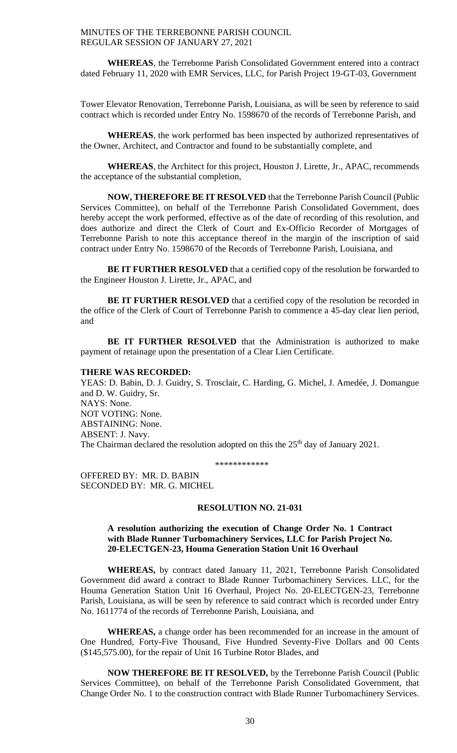**WHEREAS**, the Terrebonne Parish Consolidated Government entered into a contract dated February 11, 2020 with EMR Services, LLC, for Parish Project 19-GT-03, Government

Tower Elevator Renovation, Terrebonne Parish, Louisiana, as will be seen by reference to said contract which is recorded under Entry No. 1598670 of the records of Terrebonne Parish, and

**WHEREAS**, the work performed has been inspected by authorized representatives of the Owner, Architect, and Contractor and found to be substantially complete, and

**WHEREAS**, the Architect for this project, Houston J. Lirette, Jr., APAC, recommends the acceptance of the substantial completion,

**NOW, THEREFORE BE IT RESOLVED** that the Terrebonne Parish Council (Public Services Committee), on behalf of the Terrebonne Parish Consolidated Government, does hereby accept the work performed, effective as of the date of recording of this resolution, and does authorize and direct the Clerk of Court and Ex-Officio Recorder of Mortgages of Terrebonne Parish to note this acceptance thereof in the margin of the inscription of said contract under Entry No. 1598670 of the Records of Terrebonne Parish, Louisiana, and

**BE IT FURTHER RESOLVED** that a certified copy of the resolution be forwarded to the Engineer Houston J. Lirette, Jr., APAC, and

**BE IT FURTHER RESOLVED** that a certified copy of the resolution be recorded in the office of the Clerk of Court of Terrebonne Parish to commence a 45-day clear lien period, and

**BE IT FURTHER RESOLVED** that the Administration is authorized to make payment of retainage upon the presentation of a Clear Lien Certificate.

#### **THERE WAS RECORDED:**

YEAS: D. Babin, D. J. Guidry, S. Trosclair, C. Harding, G. Michel, J. Amedée, J. Domangue and D. W. Guidry, Sr. NAYS: None. NOT VOTING: None. ABSTAINING: None. ABSENT: J. Navy. The Chairman declared the resolution adopted on this the 25<sup>th</sup> day of January 2021.

\*\*\*\*\*\*\*\*\*\*\*\*

OFFERED BY: MR. D. BABIN SECONDED BY: MR. G. MICHEL

#### **RESOLUTION NO. 21-031**

# **A resolution authorizing the execution of Change Order No. 1 Contract with Blade Runner Turbomachinery Services, LLC for Parish Project No. 20-ELECTGEN-23, Houma Generation Station Unit 16 Overhaul**

 **WHEREAS,** by contract dated January 11, 2021, Terrebonne Parish Consolidated Government did award a contract to Blade Runner Turbomachinery Services. LLC, for the Houma Generation Station Unit 16 Overhaul, Project No. 20-ELECTGEN-23, Terrebonne Parish, Louisiana, as will be seen by reference to said contract which is recorded under Entry No. 1611774 of the records of Terrebonne Parish, Louisiana, and

 **WHEREAS,** a change order has been recommended for an increase in the amount of One Hundred, Forty-Five Thousand, Five Hundred Seventy-Five Dollars and 00 Cents (\$145,575.00), for the repair of Unit 16 Turbine Rotor Blades, and

 **NOW THEREFORE BE IT RESOLVED,** by the Terrebonne Parish Council (Public Services Committee), on behalf of the Terrebonne Parish Consolidated Government, that Change Order No. 1 to the construction contract with Blade Runner Turbomachinery Services.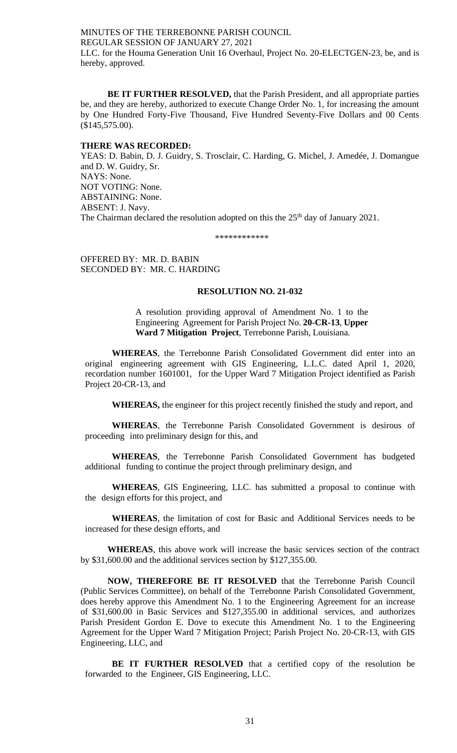MINUTES OF THE TERREBONNE PARISH COUNCIL REGULAR SESSION OF JANUARY 27, 2021 LLC. for the Houma Generation Unit 16 Overhaul, Project No. 20-ELECTGEN-23, be, and is hereby, approved.

 **BE IT FURTHER RESOLVED,** that the Parish President, and all appropriate parties be, and they are hereby, authorized to execute Change Order No. 1, for increasing the amount by One Hundred Forty-Five Thousand, Five Hundred Seventy-Five Dollars and 00 Cents (\$145,575.00).

#### **THERE WAS RECORDED:**

YEAS: D. Babin, D. J. Guidry, S. Trosclair, C. Harding, G. Michel, J. Amedée, J. Domangue and D. W. Guidry, Sr. NAYS: None. NOT VOTING: None. ABSTAINING: None. ABSENT: J. Navy. The Chairman declared the resolution adopted on this the 25<sup>th</sup> day of January 2021.

\*\*\*\*\*\*\*\*\*\*\*\*

OFFERED BY: MR. D. BABIN SECONDED BY: MR. C. HARDING

# **RESOLUTION NO. 21-032**

A resolution providing approval of Amendment No. 1 to the Engineering Agreement for Parish Project No. **20-CR-13**, **Upper Ward 7 Mitigation Project**, Terrebonne Parish, Louisiana.

**WHEREAS**, the Terrebonne Parish Consolidated Government did enter into an original engineering agreement with GIS Engineering, L.L.C. dated April 1, 2020, recordation number 1601001, for the Upper Ward 7 Mitigation Project identified as Parish Project 20-CR-13, and

**WHEREAS,** the engineer for this project recently finished the study and report, and

**WHEREAS**, the Terrebonne Parish Consolidated Government is desirous of proceeding into preliminary design for this, and

**WHEREAS**, the Terrebonne Parish Consolidated Government has budgeted additional funding to continue the project through preliminary design, and

**WHEREAS**, GIS Engineering, LLC. has submitted a proposal to continue with the design efforts for this project, and

**WHEREAS**, the limitation of cost for Basic and Additional Services needs to be increased for these design efforts, and

**WHEREAS**, this above work will increase the basic services section of the contract by \$31,600.00 and the additional services section by \$127,355.00.

**NOW, THEREFORE BE IT RESOLVED** that the Terrebonne Parish Council (Public Services Committee), on behalf of the Terrebonne Parish Consolidated Government, does hereby approve this Amendment No. 1 to the Engineering Agreement for an increase of \$31,600.00 in Basic Services and \$127,355.00 in additional services, and authorizes Parish President Gordon E. Dove to execute this Amendment No. 1 to the Engineering Agreement for the Upper Ward 7 Mitigation Project; Parish Project No. 20-CR-13, with GIS Engineering, LLC, and

**BE IT FURTHER RESOLVED** that a certified copy of the resolution be forwarded to the Engineer, GIS Engineering, LLC.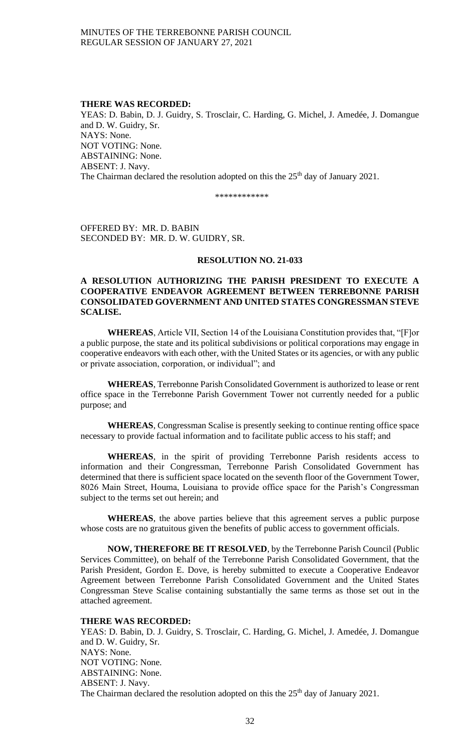### **THERE WAS RECORDED:**

YEAS: D. Babin, D. J. Guidry, S. Trosclair, C. Harding, G. Michel, J. Amedée, J. Domangue and D. W. Guidry, Sr. NAYS: None. NOT VOTING: None. ABSTAINING: None. ABSENT: J. Navy. The Chairman declared the resolution adopted on this the 25<sup>th</sup> day of January 2021.

\*\*\*\*\*\*\*\*\*\*\*\*

OFFERED BY: MR. D. BABIN SECONDED BY: MR. D. W. GUIDRY, SR.

# **RESOLUTION NO. 21-033**

# **A RESOLUTION AUTHORIZING THE PARISH PRESIDENT TO EXECUTE A COOPERATIVE ENDEAVOR AGREEMENT BETWEEN TERREBONNE PARISH CONSOLIDATED GOVERNMENT AND UNITED STATES CONGRESSMAN STEVE SCALISE.**

**WHEREAS**, Article VII, Section 14 of the Louisiana Constitution provides that, "[F]or a public purpose, the state and its political subdivisions or political corporations may engage in cooperative endeavors with each other, with the United States or its agencies, or with any public or private association, corporation, or individual"; and

**WHEREAS**, Terrebonne Parish Consolidated Government is authorized to lease or rent office space in the Terrebonne Parish Government Tower not currently needed for a public purpose; and

**WHEREAS**, Congressman Scalise is presently seeking to continue renting office space necessary to provide factual information and to facilitate public access to his staff; and

**WHEREAS**, in the spirit of providing Terrebonne Parish residents access to information and their Congressman, Terrebonne Parish Consolidated Government has determined that there is sufficient space located on the seventh floor of the Government Tower, 8026 Main Street, Houma, Louisiana to provide office space for the Parish's Congressman subject to the terms set out herein; and

**WHEREAS**, the above parties believe that this agreement serves a public purpose whose costs are no gratuitous given the benefits of public access to government officials.

**NOW, THEREFORE BE IT RESOLVED**, by the Terrebonne Parish Council (Public Services Committee), on behalf of the Terrebonne Parish Consolidated Government, that the Parish President, Gordon E. Dove, is hereby submitted to execute a Cooperative Endeavor Agreement between Terrebonne Parish Consolidated Government and the United States Congressman Steve Scalise containing substantially the same terms as those set out in the attached agreement.

### **THERE WAS RECORDED:**

YEAS: D. Babin, D. J. Guidry, S. Trosclair, C. Harding, G. Michel, J. Amedée, J. Domangue and D. W. Guidry, Sr. NAYS: None. NOT VOTING: None. ABSTAINING: None. ABSENT: J. Navy. The Chairman declared the resolution adopted on this the 25<sup>th</sup> day of January 2021.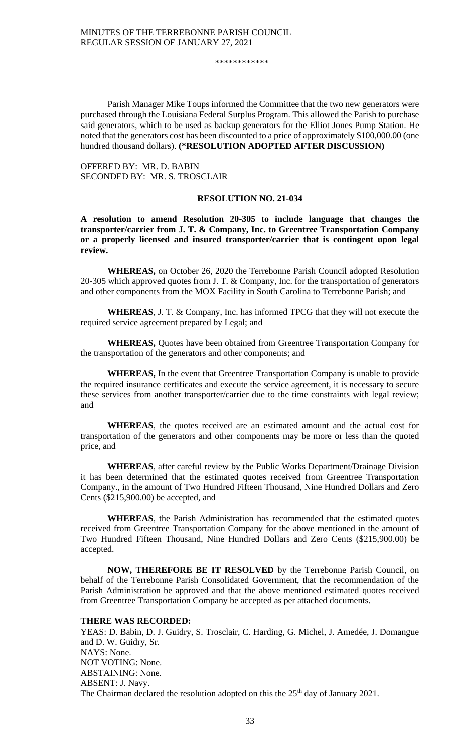\*\*\*\*\*\*\*\*\*\*\*\*

Parish Manager Mike Toups informed the Committee that the two new generators were purchased through the Louisiana Federal Surplus Program. This allowed the Parish to purchase said generators, which to be used as backup generators for the Elliot Jones Pump Station. He noted that the generators cost has been discounted to a price of approximately \$100,000.00 (one hundred thousand dollars). **(\*RESOLUTION ADOPTED AFTER DISCUSSION)**

OFFERED BY: MR. D. BABIN SECONDED BY: MR. S. TROSCLAIR

### **RESOLUTION NO. 21-034**

**A resolution to amend Resolution 20-305 to include language that changes the transporter/carrier from J. T. & Company, Inc. to Greentree Transportation Company or a properly licensed and insured transporter/carrier that is contingent upon legal review.** 

**WHEREAS,** on October 26, 2020 the Terrebonne Parish Council adopted Resolution 20-305 which approved quotes from J. T. & Company, Inc. for the transportation of generators and other components from the MOX Facility in South Carolina to Terrebonne Parish; and

**WHEREAS**, J. T. & Company, Inc. has informed TPCG that they will not execute the required service agreement prepared by Legal; and

**WHEREAS,** Quotes have been obtained from Greentree Transportation Company for the transportation of the generators and other components; and

**WHEREAS,** In the event that Greentree Transportation Company is unable to provide the required insurance certificates and execute the service agreement, it is necessary to secure these services from another transporter/carrier due to the time constraints with legal review; and

**WHEREAS**, the quotes received are an estimated amount and the actual cost for transportation of the generators and other components may be more or less than the quoted price, and

**WHEREAS**, after careful review by the Public Works Department/Drainage Division it has been determined that the estimated quotes received from Greentree Transportation Company., in the amount of Two Hundred Fifteen Thousand, Nine Hundred Dollars and Zero Cents (\$215,900.00) be accepted, and

**WHEREAS**, the Parish Administration has recommended that the estimated quotes received from Greentree Transportation Company for the above mentioned in the amount of Two Hundred Fifteen Thousand, Nine Hundred Dollars and Zero Cents (\$215,900.00) be accepted.

**NOW, THEREFORE BE IT RESOLVED** by the Terrebonne Parish Council, on behalf of the Terrebonne Parish Consolidated Government, that the recommendation of the Parish Administration be approved and that the above mentioned estimated quotes received from Greentree Transportation Company be accepted as per attached documents.

#### **THERE WAS RECORDED:**

YEAS: D. Babin, D. J. Guidry, S. Trosclair, C. Harding, G. Michel, J. Amedée, J. Domangue and D. W. Guidry, Sr. NAYS: None. NOT VOTING: None. ABSTAINING: None. ABSENT: J. Navy. The Chairman declared the resolution adopted on this the 25<sup>th</sup> day of January 2021.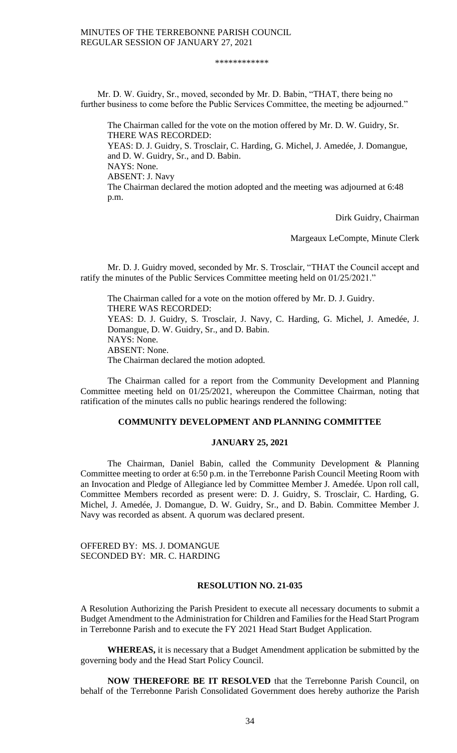#### \*\*\*\*\*\*\*\*\*\*\*\*

Mr. D. W. Guidry, Sr., moved, seconded by Mr. D. Babin, "THAT, there being no further business to come before the Public Services Committee, the meeting be adjourned."

The Chairman called for the vote on the motion offered by Mr. D. W. Guidry, Sr. THERE WAS RECORDED: YEAS: D. J. Guidry, S. Trosclair, C. Harding, G. Michel, J. Amedée, J. Domangue, and D. W. Guidry, Sr., and D. Babin. NAYS: None. ABSENT: J. Navy The Chairman declared the motion adopted and the meeting was adjourned at 6:48 p.m.

Dirk Guidry, Chairman

Margeaux LeCompte, Minute Clerk

Mr. D. J. Guidry moved, seconded by Mr. S. Trosclair, "THAT the Council accept and ratify the minutes of the Public Services Committee meeting held on 01/25/2021."

The Chairman called for a vote on the motion offered by Mr. D. J. Guidry. THERE WAS RECORDED: YEAS: D. J. Guidry, S. Trosclair, J. Navy, C. Harding, G. Michel, J. Amedée, J. Domangue, D. W. Guidry, Sr., and D. Babin. NAYS: None. ABSENT: None. The Chairman declared the motion adopted.

The Chairman called for a report from the Community Development and Planning Committee meeting held on 01/25/2021, whereupon the Committee Chairman, noting that ratification of the minutes calls no public hearings rendered the following:

# **COMMUNITY DEVELOPMENT AND PLANNING COMMITTEE**

### **JANUARY 25, 2021**

The Chairman, Daniel Babin, called the Community Development & Planning Committee meeting to order at 6:50 p.m. in the Terrebonne Parish Council Meeting Room with an Invocation and Pledge of Allegiance led by Committee Member J. Amedée. Upon roll call, Committee Members recorded as present were: D. J. Guidry, S. Trosclair, C. Harding, G. Michel, J. Amedée, J. Domangue, D. W. Guidry, Sr., and D. Babin. Committee Member J. Navy was recorded as absent. A quorum was declared present.

OFFERED BY: MS. J. DOMANGUE SECONDED BY: MR. C. HARDING

# **RESOLUTION NO. 21-035**

A Resolution Authorizing the Parish President to execute all necessary documents to submit a Budget Amendment to the Administration for Children and Families for the Head Start Program in Terrebonne Parish and to execute the FY 2021 Head Start Budget Application.

**WHEREAS,** it is necessary that a Budget Amendment application be submitted by the governing body and the Head Start Policy Council.

**NOW THEREFORE BE IT RESOLVED** that the Terrebonne Parish Council, on behalf of the Terrebonne Parish Consolidated Government does hereby authorize the Parish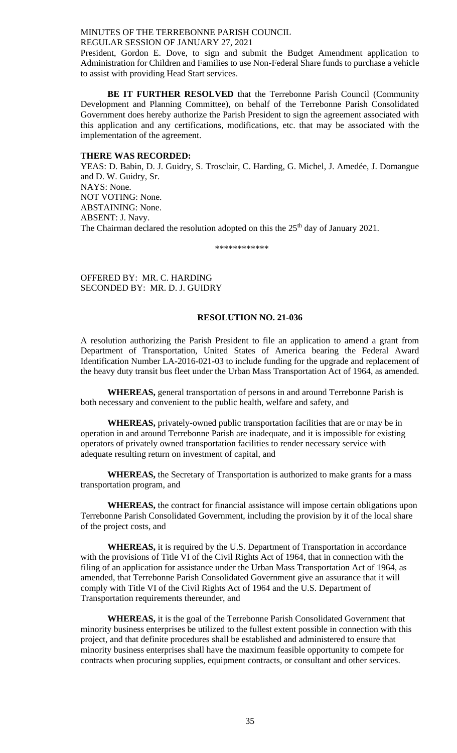President, Gordon E. Dove, to sign and submit the Budget Amendment application to Administration for Children and Families to use Non-Federal Share funds to purchase a vehicle to assist with providing Head Start services.

**BE IT FURTHER RESOLVED** that the Terrebonne Parish Council (Community Development and Planning Committee), on behalf of the Terrebonne Parish Consolidated Government does hereby authorize the Parish President to sign the agreement associated with this application and any certifications, modifications, etc. that may be associated with the implementation of the agreement.

#### **THERE WAS RECORDED:**

YEAS: D. Babin, D. J. Guidry, S. Trosclair, C. Harding, G. Michel, J. Amedée, J. Domangue and D. W. Guidry, Sr. NAYS: None. NOT VOTING: None. ABSTAINING: None. ABSENT: J. Navy. The Chairman declared the resolution adopted on this the 25<sup>th</sup> day of January 2021.

\*\*\*\*\*\*\*\*\*\*\*\*

OFFERED BY: MR. C. HARDING SECONDED BY: MR. D. J. GUIDRY

#### **RESOLUTION NO. 21-036**

A resolution authorizing the Parish President to file an application to amend a grant from Department of Transportation, United States of America bearing the Federal Award Identification Number LA-2016-021-03 to include funding for the upgrade and replacement of the heavy duty transit bus fleet under the Urban Mass Transportation Act of 1964, as amended.

**WHEREAS,** general transportation of persons in and around Terrebonne Parish is both necessary and convenient to the public health, welfare and safety, and

**WHEREAS,** privately-owned public transportation facilities that are or may be in operation in and around Terrebonne Parish are inadequate, and it is impossible for existing operators of privately owned transportation facilities to render necessary service with adequate resulting return on investment of capital, and

**WHEREAS,** the Secretary of Transportation is authorized to make grants for a mass transportation program, and

**WHEREAS,** the contract for financial assistance will impose certain obligations upon Terrebonne Parish Consolidated Government, including the provision by it of the local share of the project costs, and

**WHEREAS,** it is required by the U.S. Department of Transportation in accordance with the provisions of Title VI of the Civil Rights Act of 1964, that in connection with the filing of an application for assistance under the Urban Mass Transportation Act of 1964, as amended, that Terrebonne Parish Consolidated Government give an assurance that it will comply with Title VI of the Civil Rights Act of 1964 and the U.S. Department of Transportation requirements thereunder, and

**WHEREAS,** it is the goal of the Terrebonne Parish Consolidated Government that minority business enterprises be utilized to the fullest extent possible in connection with this project, and that definite procedures shall be established and administered to ensure that minority business enterprises shall have the maximum feasible opportunity to compete for contracts when procuring supplies, equipment contracts, or consultant and other services.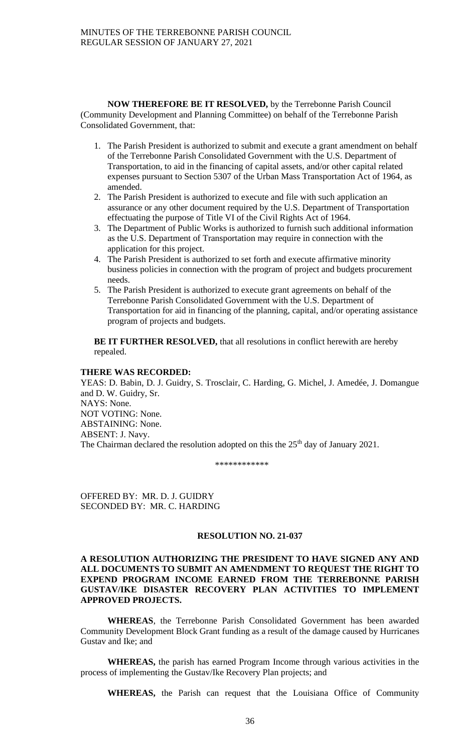**NOW THEREFORE BE IT RESOLVED,** by the Terrebonne Parish Council (Community Development and Planning Committee) on behalf of the Terrebonne Parish Consolidated Government, that:

- 1. The Parish President is authorized to submit and execute a grant amendment on behalf of the Terrebonne Parish Consolidated Government with the U.S. Department of Transportation, to aid in the financing of capital assets, and/or other capital related expenses pursuant to Section 5307 of the Urban Mass Transportation Act of 1964, as amended.
- 2. The Parish President is authorized to execute and file with such application an assurance or any other document required by the U.S. Department of Transportation effectuating the purpose of Title VI of the Civil Rights Act of 1964.
- 3. The Department of Public Works is authorized to furnish such additional information as the U.S. Department of Transportation may require in connection with the application for this project.
- 4. The Parish President is authorized to set forth and execute affirmative minority business policies in connection with the program of project and budgets procurement needs.
- 5. The Parish President is authorized to execute grant agreements on behalf of the Terrebonne Parish Consolidated Government with the U.S. Department of Transportation for aid in financing of the planning, capital, and/or operating assistance program of projects and budgets.

**BE IT FURTHER RESOLVED,** that all resolutions in conflict herewith are hereby repealed.

# **THERE WAS RECORDED:**

YEAS: D. Babin, D. J. Guidry, S. Trosclair, C. Harding, G. Michel, J. Amedée, J. Domangue and D. W. Guidry, Sr. NAYS: None. NOT VOTING: None. ABSTAINING: None. ABSENT: J. Navy. The Chairman declared the resolution adopted on this the 25<sup>th</sup> day of January 2021.

\*\*\*\*\*\*\*\*\*\*\*\*

OFFERED BY: MR. D. J. GUIDRY SECONDED BY: MR. C. HARDING

# **RESOLUTION NO. 21-037**

# **A RESOLUTION AUTHORIZING THE PRESIDENT TO HAVE SIGNED ANY AND ALL DOCUMENTS TO SUBMIT AN AMENDMENT TO REQUEST THE RIGHT TO EXPEND PROGRAM INCOME EARNED FROM THE TERREBONNE PARISH GUSTAV/IKE DISASTER RECOVERY PLAN ACTIVITIES TO IMPLEMENT APPROVED PROJECTS.**

**WHEREAS**, the Terrebonne Parish Consolidated Government has been awarded Community Development Block Grant funding as a result of the damage caused by Hurricanes Gustav and Ike; and

**WHEREAS,** the parish has earned Program Income through various activities in the process of implementing the Gustav/Ike Recovery Plan projects; and

**WHEREAS,** the Parish can request that the Louisiana Office of Community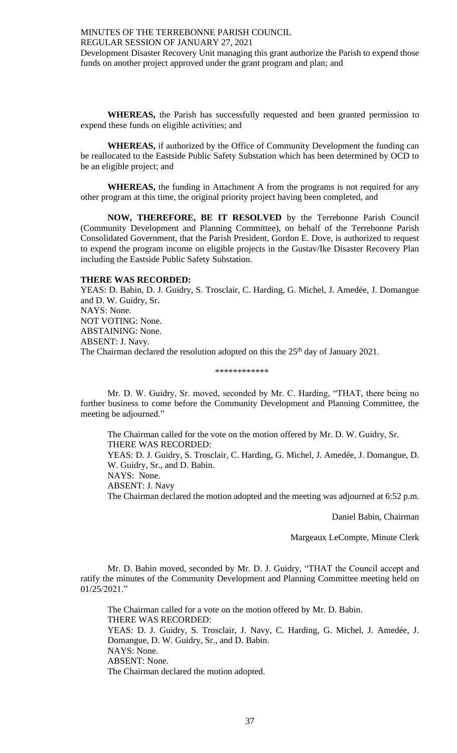Development Disaster Recovery Unit managing this grant authorize the Parish to expend those funds on another project approved under the grant program and plan; and

**WHEREAS,** the Parish has successfully requested and been granted permission to expend these funds on eligible activities; and

**WHEREAS,** if authorized by the Office of Community Development the funding can be reallocated to the Eastside Public Safety Substation which has been determined by OCD to be an eligible project; and

**WHEREAS,** the funding in Attachment A from the programs is not required for any other program at this time, the original priority project having been completed, and

**NOW, THEREFORE, BE IT RESOLVED** by the Terrebonne Parish Council (Community Development and Planning Committee), on behalf of the Terrebonne Parish Consolidated Government, that the Parish President, Gordon E. Dove, is authorized to request to expend the program income on eligible projects in the Gustav/Ike Disaster Recovery Plan including the Eastside Public Safety Substation.

# **THERE WAS RECORDED:**

YEAS: D. Babin, D. J. Guidry, S. Trosclair, C. Harding, G. Michel, J. Amedée, J. Domangue and D. W. Guidry, Sr. NAYS: None. NOT VOTING: None. ABSTAINING: None. ABSENT: J. Navy. The Chairman declared the resolution adopted on this the 25<sup>th</sup> day of January 2021.

#### \*\*\*\*\*\*\*\*\*\*\*\*

Mr. D. W. Guidry, Sr. moved, seconded by Mr. C. Harding, "THAT, there being no further business to come before the Community Development and Planning Committee, the meeting be adjourned."

The Chairman called for the vote on the motion offered by Mr. D. W. Guidry, Sr. THERE WAS RECORDED: YEAS: D. J. Guidry, S. Trosclair, C. Harding, G. Michel, J. Amedée, J. Domangue, D. W. Guidry, Sr., and D. Babin. NAYS: None. ABSENT: J. Navy

The Chairman declared the motion adopted and the meeting was adjourned at 6:52 p.m.

Daniel Babin, Chairman

Margeaux LeCompte, Minute Clerk

Mr. D. Babin moved, seconded by Mr. D. J. Guidry, "THAT the Council accept and ratify the minutes of the Community Development and Planning Committee meeting held on 01/25/2021."

The Chairman called for a vote on the motion offered by Mr. D. Babin. THERE WAS RECORDED: YEAS: D. J. Guidry, S. Trosclair, J. Navy, C. Harding, G. Michel, J. Amedée, J. Domangue, D. W. Guidry, Sr., and D. Babin. NAYS: None. ABSENT: None. The Chairman declared the motion adopted.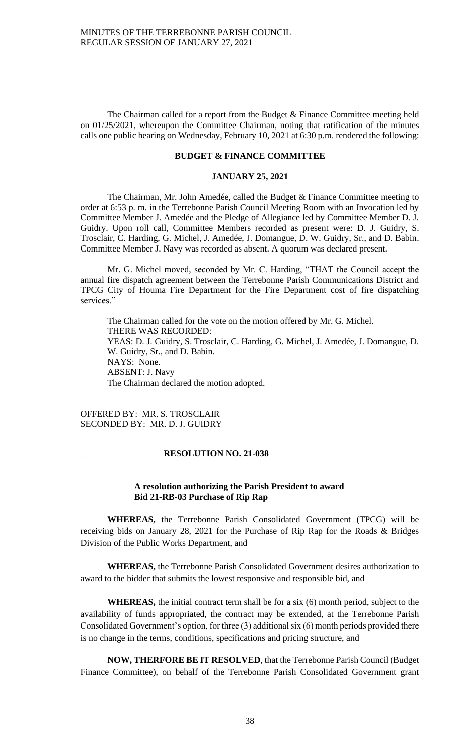The Chairman called for a report from the Budget & Finance Committee meeting held on 01/25/2021, whereupon the Committee Chairman, noting that ratification of the minutes calls one public hearing on Wednesday, February 10, 2021 at 6:30 p.m. rendered the following:

# **BUDGET & FINANCE COMMITTEE**

#### **JANUARY 25, 2021**

The Chairman, Mr. John Amedée, called the Budget & Finance Committee meeting to order at 6:53 p. m. in the Terrebonne Parish Council Meeting Room with an Invocation led by Committee Member J. Amedée and the Pledge of Allegiance led by Committee Member D. J. Guidry. Upon roll call, Committee Members recorded as present were: D. J. Guidry, S. Trosclair, C. Harding, G. Michel, J. Amedée, J. Domangue, D. W. Guidry, Sr., and D. Babin. Committee Member J. Navy was recorded as absent. A quorum was declared present.

Mr. G. Michel moved, seconded by Mr. C. Harding, "THAT the Council accept the annual fire dispatch agreement between the Terrebonne Parish Communications District and TPCG City of Houma Fire Department for the Fire Department cost of fire dispatching services."

The Chairman called for the vote on the motion offered by Mr. G. Michel. THERE WAS RECORDED: YEAS: D. J. Guidry, S. Trosclair, C. Harding, G. Michel, J. Amedée, J. Domangue, D. W. Guidry, Sr., and D. Babin. NAYS: None. ABSENT: J. Navy The Chairman declared the motion adopted.

OFFERED BY: MR. S. TROSCLAIR SECONDED BY: MR. D. J. GUIDRY

### **RESOLUTION NO. 21-038**

# **A resolution authorizing the Parish President to award Bid 21-RB-03 Purchase of Rip Rap**

**WHEREAS,** the Terrebonne Parish Consolidated Government (TPCG) will be receiving bids on January 28, 2021 for the Purchase of Rip Rap for the Roads & Bridges Division of the Public Works Department, and

**WHEREAS,** the Terrebonne Parish Consolidated Government desires authorization to award to the bidder that submits the lowest responsive and responsible bid, and

**WHEREAS,** the initial contract term shall be for a six (6) month period, subject to the availability of funds appropriated, the contract may be extended, at the Terrebonne Parish Consolidated Government's option, for three (3) additional six (6) month periods provided there is no change in the terms, conditions, specifications and pricing structure, and

**NOW, THERFORE BE IT RESOLVED**, that the Terrebonne Parish Council (Budget Finance Committee), on behalf of the Terrebonne Parish Consolidated Government grant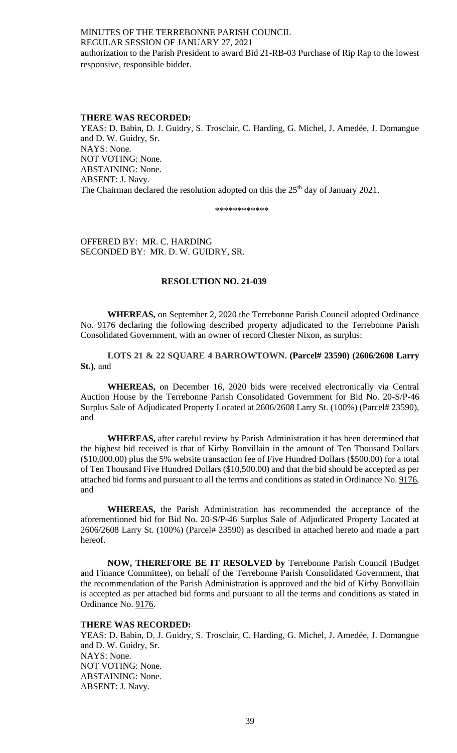# MINUTES OF THE TERREBONNE PARISH COUNCIL REGULAR SESSION OF JANUARY 27, 2021 authorization to the Parish President to award Bid 21-RB-03 Purchase of Rip Rap to the lowest responsive, responsible bidder.

# **THERE WAS RECORDED:**

YEAS: D. Babin, D. J. Guidry, S. Trosclair, C. Harding, G. Michel, J. Amedée, J. Domangue and D. W. Guidry, Sr. NAYS: None. NOT VOTING: None. ABSTAINING: None. ABSENT: J. Navy. The Chairman declared the resolution adopted on this the 25<sup>th</sup> day of January 2021.

\*\*\*\*\*\*\*\*\*\*\*\*

OFFERED BY: MR. C. HARDING SECONDED BY: MR. D. W. GUIDRY, SR.

# **RESOLUTION NO. 21-039**

**WHEREAS,** on September 2, 2020 the Terrebonne Parish Council adopted Ordinance No. 9176 declaring the following described property adjudicated to the Terrebonne Parish Consolidated Government, with an owner of record Chester Nixon, as surplus:

**LOTS 21 & 22 SQUARE 4 BARROWTOWN. (Parcel# 23590) (2606/2608 Larry St.)**, and

**WHEREAS,** on December 16, 2020 bids were received electronically via Central Auction House by the Terrebonne Parish Consolidated Government for Bid No. 20-S/P-46 Surplus Sale of Adjudicated Property Located at 2606/2608 Larry St. (100%) (Parcel# 23590), and

**WHEREAS,** after careful review by Parish Administration it has been determined that the highest bid received is that of Kirby Bonvillain in the amount of Ten Thousand Dollars (\$10,000.00) plus the 5% website transaction fee of Five Hundred Dollars (\$500.00) for a total of Ten Thousand Five Hundred Dollars (\$10,500.00) and that the bid should be accepted as per attached bid forms and pursuant to all the terms and conditions as stated in Ordinance No. 9176, and

**WHEREAS,** the Parish Administration has recommended the acceptance of the aforementioned bid for Bid No. 20-S/P-46 Surplus Sale of Adjudicated Property Located at 2606/2608 Larry St. (100%) (Parcel# 23590) as described in attached hereto and made a part hereof.

**NOW, THEREFORE BE IT RESOLVED by** Terrebonne Parish Council (Budget and Finance Committee), on behalf of the Terrebonne Parish Consolidated Government, that the recommendation of the Parish Administration is approved and the bid of Kirby Bonvillain is accepted as per attached bid forms and pursuant to all the terms and conditions as stated in Ordinance No. 9176.

### **THERE WAS RECORDED:**

YEAS: D. Babin, D. J. Guidry, S. Trosclair, C. Harding, G. Michel, J. Amedée, J. Domangue and D. W. Guidry, Sr. NAYS: None. NOT VOTING: None. ABSTAINING: None. ABSENT: J. Navy.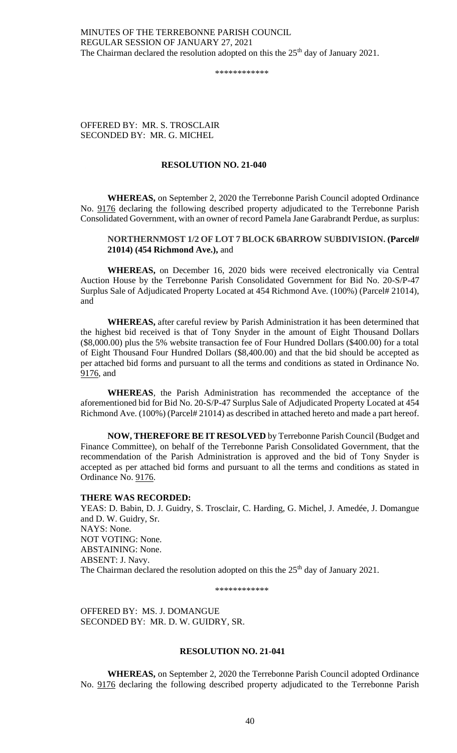# MINUTES OF THE TERREBONNE PARISH COUNCIL REGULAR SESSION OF JANUARY 27, 2021 The Chairman declared the resolution adopted on this the  $25<sup>th</sup>$  day of January 2021.

\*\*\*\*\*\*\*\*\*\*\*\*

OFFERED BY: MR. S. TROSCLAIR SECONDED BY: MR. G. MICHEL

# **RESOLUTION NO. 21-040**

**WHEREAS,** on September 2, 2020 the Terrebonne Parish Council adopted Ordinance No. 9176 declaring the following described property adjudicated to the Terrebonne Parish Consolidated Government, with an owner of record Pamela Jane Garabrandt Perdue, as surplus:

# **NORTHERNMOST 1/2 OF LOT 7 BLOCK 6BARROW SUBDIVISION. (Parcel# 21014) (454 Richmond Ave.),** and

**WHEREAS,** on December 16, 2020 bids were received electronically via Central Auction House by the Terrebonne Parish Consolidated Government for Bid No. 20-S/P-47 Surplus Sale of Adjudicated Property Located at 454 Richmond Ave. (100%) (Parcel# 21014), and

**WHEREAS,** after careful review by Parish Administration it has been determined that the highest bid received is that of Tony Snyder in the amount of Eight Thousand Dollars (\$8,000.00) plus the 5% website transaction fee of Four Hundred Dollars (\$400.00) for a total of Eight Thousand Four Hundred Dollars (\$8,400.00) and that the bid should be accepted as per attached bid forms and pursuant to all the terms and conditions as stated in Ordinance No. 9176, and

**WHEREAS**, the Parish Administration has recommended the acceptance of the aforementioned bid for Bid No. 20-S/P-47 Surplus Sale of Adjudicated Property Located at 454 Richmond Ave. (100%) (Parcel# 21014) as described in attached hereto and made a part hereof.

**NOW, THEREFORE BE IT RESOLVED** by Terrebonne Parish Council (Budget and Finance Committee), on behalf of the Terrebonne Parish Consolidated Government, that the recommendation of the Parish Administration is approved and the bid of Tony Snyder is accepted as per attached bid forms and pursuant to all the terms and conditions as stated in Ordinance No. 9176.

### **THERE WAS RECORDED:**

YEAS: D. Babin, D. J. Guidry, S. Trosclair, C. Harding, G. Michel, J. Amedée, J. Domangue and D. W. Guidry, Sr. NAYS: None. NOT VOTING: None. ABSTAINING: None. ABSENT: J. Navy. The Chairman declared the resolution adopted on this the 25<sup>th</sup> day of January 2021.

\*\*\*\*\*\*\*\*\*\*\*\*

OFFERED BY: MS. J. DOMANGUE SECONDED BY: MR. D. W. GUIDRY, SR.

### **RESOLUTION NO. 21-041**

**WHEREAS,** on September 2, 2020 the Terrebonne Parish Council adopted Ordinance No. 9176 declaring the following described property adjudicated to the Terrebonne Parish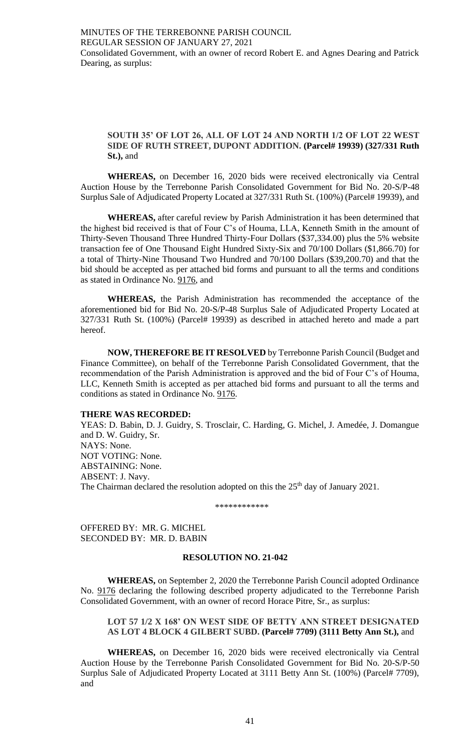# **SOUTH 35' OF LOT 26, ALL OF LOT 24 AND NORTH 1/2 OF LOT 22 WEST SIDE OF RUTH STREET, DUPONT ADDITION. (Parcel# 19939) (327/331 Ruth St.),** and

**WHEREAS,** on December 16, 2020 bids were received electronically via Central Auction House by the Terrebonne Parish Consolidated Government for Bid No. 20-S/P-48 Surplus Sale of Adjudicated Property Located at 327/331 Ruth St. (100%) (Parcel# 19939), and

**WHEREAS,** after careful review by Parish Administration it has been determined that the highest bid received is that of Four C's of Houma, LLA, Kenneth Smith in the amount of Thirty-Seven Thousand Three Hundred Thirty-Four Dollars (\$37,334.00) plus the 5% website transaction fee of One Thousand Eight Hundred Sixty-Six and 70/100 Dollars (\$1,866.70) for a total of Thirty-Nine Thousand Two Hundred and 70/100 Dollars (\$39,200.70) and that the bid should be accepted as per attached bid forms and pursuant to all the terms and conditions as stated in Ordinance No. 9176, and

**WHEREAS,** the Parish Administration has recommended the acceptance of the aforementioned bid for Bid No. 20-S/P-48 Surplus Sale of Adjudicated Property Located at 327/331 Ruth St. (100%) (Parcel# 19939) as described in attached hereto and made a part hereof.

**NOW, THEREFORE BE IT RESOLVED** by Terrebonne Parish Council (Budget and Finance Committee), on behalf of the Terrebonne Parish Consolidated Government, that the recommendation of the Parish Administration is approved and the bid of Four C's of Houma, LLC, Kenneth Smith is accepted as per attached bid forms and pursuant to all the terms and conditions as stated in Ordinance No. 9176.

### **THERE WAS RECORDED:**

YEAS: D. Babin, D. J. Guidry, S. Trosclair, C. Harding, G. Michel, J. Amedée, J. Domangue and D. W. Guidry, Sr. NAYS: None. NOT VOTING: None. ABSTAINING: None. ABSENT: J. Navy. The Chairman declared the resolution adopted on this the 25<sup>th</sup> day of January 2021.

\*\*\*\*\*\*\*\*\*\*\*\*

OFFERED BY: MR. G. MICHEL SECONDED BY: MR. D. BABIN

# **RESOLUTION NO. 21-042**

**WHEREAS,** on September 2, 2020 the Terrebonne Parish Council adopted Ordinance No. 9176 declaring the following described property adjudicated to the Terrebonne Parish Consolidated Government, with an owner of record Horace Pitre, Sr., as surplus:

# **LOT 57 1/2 X 168' ON WEST SIDE OF BETTY ANN STREET DESIGNATED AS LOT 4 BLOCK 4 GILBERT SUBD. (Parcel# 7709) (3111 Betty Ann St.),** and

**WHEREAS,** on December 16, 2020 bids were received electronically via Central Auction House by the Terrebonne Parish Consolidated Government for Bid No. 20-S/P-50 Surplus Sale of Adjudicated Property Located at 3111 Betty Ann St. (100%) (Parcel# 7709), and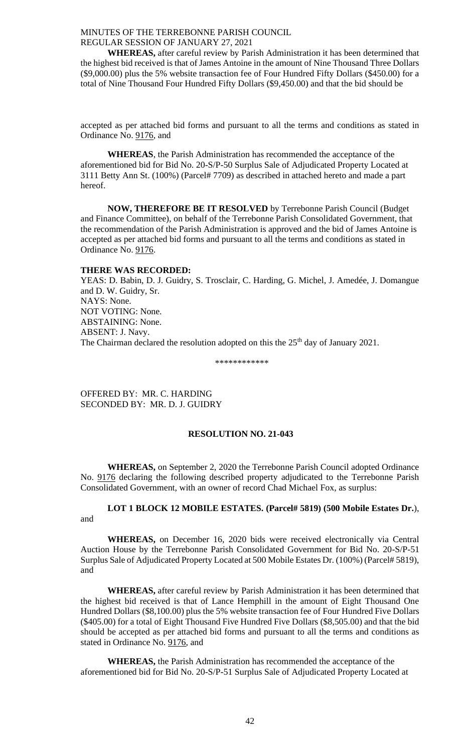**WHEREAS,** after careful review by Parish Administration it has been determined that the highest bid received is that of James Antoine in the amount of Nine Thousand Three Dollars (\$9,000.00) plus the 5% website transaction fee of Four Hundred Fifty Dollars (\$450.00) for a total of Nine Thousand Four Hundred Fifty Dollars (\$9,450.00) and that the bid should be

accepted as per attached bid forms and pursuant to all the terms and conditions as stated in Ordinance No. 9176, and

**WHEREAS**, the Parish Administration has recommended the acceptance of the aforementioned bid for Bid No. 20-S/P-50 Surplus Sale of Adjudicated Property Located at 3111 Betty Ann St. (100%) (Parcel# 7709) as described in attached hereto and made a part hereof.

**NOW, THEREFORE BE IT RESOLVED** by Terrebonne Parish Council (Budget and Finance Committee), on behalf of the Terrebonne Parish Consolidated Government, that the recommendation of the Parish Administration is approved and the bid of James Antoine is accepted as per attached bid forms and pursuant to all the terms and conditions as stated in Ordinance No. 9176.

# **THERE WAS RECORDED:**

YEAS: D. Babin, D. J. Guidry, S. Trosclair, C. Harding, G. Michel, J. Amedée, J. Domangue and D. W. Guidry, Sr. NAYS: None. NOT VOTING: None. ABSTAINING: None. ABSENT: J. Navy. The Chairman declared the resolution adopted on this the 25<sup>th</sup> day of January 2021.

\*\*\*\*\*\*\*\*\*\*\*\*

OFFERED BY: MR. C. HARDING SECONDED BY: MR. D. J. GUIDRY

# **RESOLUTION NO. 21-043**

**WHEREAS,** on September 2, 2020 the Terrebonne Parish Council adopted Ordinance No. 9176 declaring the following described property adjudicated to the Terrebonne Parish Consolidated Government, with an owner of record Chad Michael Fox, as surplus:

**LOT 1 BLOCK 12 MOBILE ESTATES. (Parcel# 5819) (500 Mobile Estates Dr.**), and

**WHEREAS,** on December 16, 2020 bids were received electronically via Central Auction House by the Terrebonne Parish Consolidated Government for Bid No. 20-S/P-51 Surplus Sale of Adjudicated Property Located at 500 Mobile Estates Dr. (100%) (Parcel# 5819), and

**WHEREAS,** after careful review by Parish Administration it has been determined that the highest bid received is that of Lance Hemphill in the amount of Eight Thousand One Hundred Dollars (\$8,100.00) plus the 5% website transaction fee of Four Hundred Five Dollars (\$405.00) for a total of Eight Thousand Five Hundred Five Dollars (\$8,505.00) and that the bid should be accepted as per attached bid forms and pursuant to all the terms and conditions as stated in Ordinance No. 9176, and

**WHEREAS,** the Parish Administration has recommended the acceptance of the aforementioned bid for Bid No. 20-S/P-51 Surplus Sale of Adjudicated Property Located at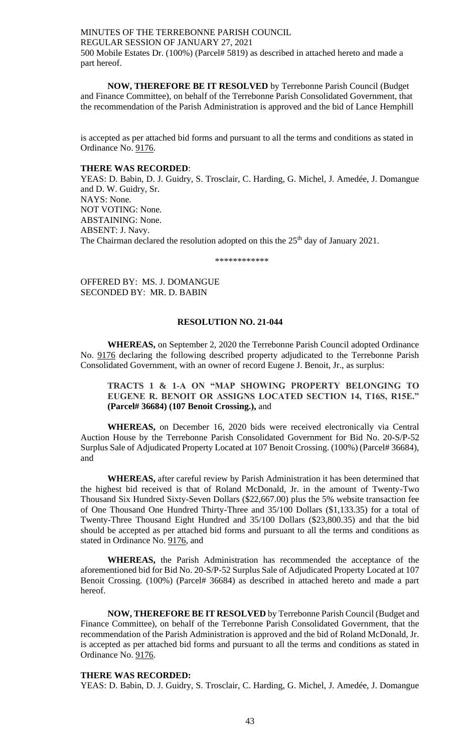MINUTES OF THE TERREBONNE PARISH COUNCIL REGULAR SESSION OF JANUARY 27, 2021 500 Mobile Estates Dr. (100%) (Parcel# 5819) as described in attached hereto and made a part hereof.

**NOW, THEREFORE BE IT RESOLVED** by Terrebonne Parish Council (Budget and Finance Committee), on behalf of the Terrebonne Parish Consolidated Government, that the recommendation of the Parish Administration is approved and the bid of Lance Hemphill

is accepted as per attached bid forms and pursuant to all the terms and conditions as stated in Ordinance No. 9176.

# **THERE WAS RECORDED**:

YEAS: D. Babin, D. J. Guidry, S. Trosclair, C. Harding, G. Michel, J. Amedée, J. Domangue and D. W. Guidry, Sr. NAYS: None. NOT VOTING: None. ABSTAINING: None. ABSENT: J. Navy. The Chairman declared the resolution adopted on this the 25<sup>th</sup> day of January 2021.

\*\*\*\*\*\*\*\*\*\*\*\*

OFFERED BY: MS. J. DOMANGUE SECONDED BY: MR. D. BABIN

# **RESOLUTION NO. 21-044**

**WHEREAS,** on September 2, 2020 the Terrebonne Parish Council adopted Ordinance No. 9176 declaring the following described property adjudicated to the Terrebonne Parish Consolidated Government, with an owner of record Eugene J. Benoit, Jr., as surplus:

# **TRACTS 1 & 1-A ON "MAP SHOWING PROPERTY BELONGING TO EUGENE R. BENOIT OR ASSIGNS LOCATED SECTION 14, T16S, R15E." (Parcel# 36684) (107 Benoit Crossing.),** and

**WHEREAS,** on December 16, 2020 bids were received electronically via Central Auction House by the Terrebonne Parish Consolidated Government for Bid No. 20-S/P-52 Surplus Sale of Adjudicated Property Located at 107 Benoit Crossing. (100%) (Parcel# 36684), and

**WHEREAS,** after careful review by Parish Administration it has been determined that the highest bid received is that of Roland McDonald, Jr. in the amount of Twenty-Two Thousand Six Hundred Sixty-Seven Dollars (\$22,667.00) plus the 5% website transaction fee of One Thousand One Hundred Thirty-Three and 35/100 Dollars (\$1,133.35) for a total of Twenty-Three Thousand Eight Hundred and 35/100 Dollars (\$23,800.35) and that the bid should be accepted as per attached bid forms and pursuant to all the terms and conditions as stated in Ordinance No. 9176, and

**WHEREAS,** the Parish Administration has recommended the acceptance of the aforementioned bid for Bid No. 20-S/P-52 Surplus Sale of Adjudicated Property Located at 107 Benoit Crossing. (100%) (Parcel# 36684) as described in attached hereto and made a part hereof.

**NOW, THEREFORE BE IT RESOLVED** by Terrebonne Parish Council (Budget and Finance Committee), on behalf of the Terrebonne Parish Consolidated Government, that the recommendation of the Parish Administration is approved and the bid of Roland McDonald, Jr. is accepted as per attached bid forms and pursuant to all the terms and conditions as stated in Ordinance No. 9176.

### **THERE WAS RECORDED:**

YEAS: D. Babin, D. J. Guidry, S. Trosclair, C. Harding, G. Michel, J. Amedée, J. Domangue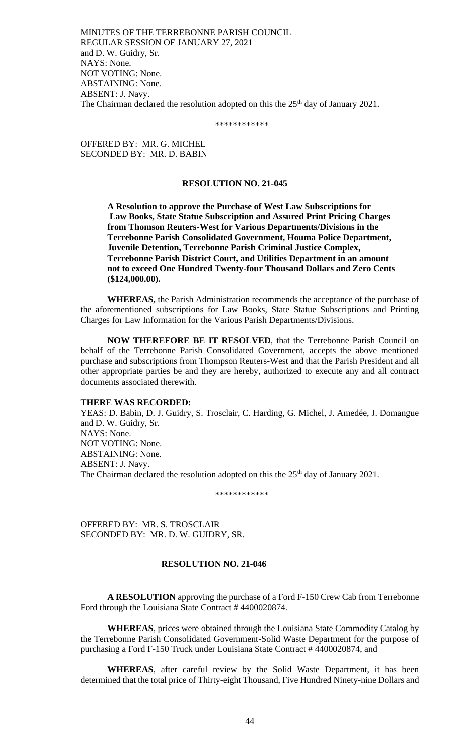MINUTES OF THE TERREBONNE PARISH COUNCIL REGULAR SESSION OF JANUARY 27, 2021 and D. W. Guidry, Sr. NAYS: None. NOT VOTING: None. ABSTAINING: None. ABSENT: J. Navy. The Chairman declared the resolution adopted on this the  $25<sup>th</sup>$  day of January 2021.

\*\*\*\*\*\*\*\*\*\*\*\*

OFFERED BY: MR. G. MICHEL SECONDED BY: MR. D. BABIN

#### **RESOLUTION NO. 21-045**

**A Resolution to approve the Purchase of West Law Subscriptions for Law Books, State Statue Subscription and Assured Print Pricing Charges from Thomson Reuters-West for Various Departments/Divisions in the Terrebonne Parish Consolidated Government, Houma Police Department, Juvenile Detention, Terrebonne Parish Criminal Justice Complex, Terrebonne Parish District Court, and Utilities Department in an amount not to exceed One Hundred Twenty-four Thousand Dollars and Zero Cents (\$124,000.00).** 

**WHEREAS,** the Parish Administration recommends the acceptance of the purchase of the aforementioned subscriptions for Law Books, State Statue Subscriptions and Printing Charges for Law Information for the Various Parish Departments/Divisions.

**NOW THEREFORE BE IT RESOLVED**, that the Terrebonne Parish Council on behalf of the Terrebonne Parish Consolidated Government, accepts the above mentioned purchase and subscriptions from Thompson Reuters-West and that the Parish President and all other appropriate parties be and they are hereby, authorized to execute any and all contract documents associated therewith.

### **THERE WAS RECORDED:**

YEAS: D. Babin, D. J. Guidry, S. Trosclair, C. Harding, G. Michel, J. Amedée, J. Domangue and D. W. Guidry, Sr. NAYS: None. NOT VOTING: None. ABSTAINING: None. ABSENT: J. Navy. The Chairman declared the resolution adopted on this the 25<sup>th</sup> day of January 2021.

\*\*\*\*\*\*\*\*\*\*\*\*

OFFERED BY: MR. S. TROSCLAIR SECONDED BY: MR. D. W. GUIDRY, SR.

## **RESOLUTION NO. 21-046**

**A RESOLUTION** approving the purchase of a Ford F-150 Crew Cab from Terrebonne Ford through the Louisiana State Contract # 4400020874.

**WHEREAS**, prices were obtained through the Louisiana State Commodity Catalog by the Terrebonne Parish Consolidated Government-Solid Waste Department for the purpose of purchasing a Ford F-150 Truck under Louisiana State Contract # 4400020874, and

**WHEREAS**, after careful review by the Solid Waste Department, it has been determined that the total price of Thirty-eight Thousand, Five Hundred Ninety-nine Dollars and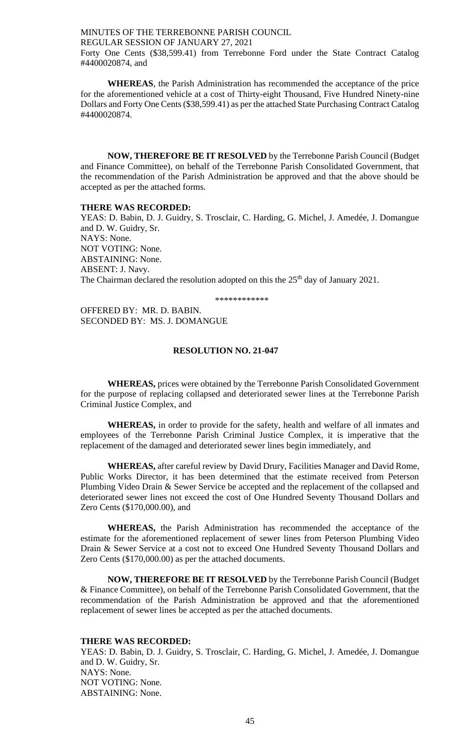Forty One Cents (\$38,599.41) from Terrebonne Ford under the State Contract Catalog #4400020874, and

**WHEREAS**, the Parish Administration has recommended the acceptance of the price for the aforementioned vehicle at a cost of Thirty-eight Thousand, Five Hundred Ninety-nine Dollars and Forty One Cents (\$38,599.41) as per the attached State Purchasing Contract Catalog #4400020874.

**NOW, THEREFORE BE IT RESOLVED** by the Terrebonne Parish Council (Budget and Finance Committee), on behalf of the Terrebonne Parish Consolidated Government, that the recommendation of the Parish Administration be approved and that the above should be accepted as per the attached forms.

#### **THERE WAS RECORDED:**

YEAS: D. Babin, D. J. Guidry, S. Trosclair, C. Harding, G. Michel, J. Amedée, J. Domangue and D. W. Guidry, Sr. NAYS: None. NOT VOTING: None. ABSTAINING: None. ABSENT: J. Navy. The Chairman declared the resolution adopted on this the 25<sup>th</sup> day of January 2021.

\*\*\*\*\*\*\*\*\*\*\*\*

OFFERED BY: MR. D. BABIN. SECONDED BY: MS. J. DOMANGUE

# **RESOLUTION NO. 21-047**

**WHEREAS,** prices were obtained by the Terrebonne Parish Consolidated Government for the purpose of replacing collapsed and deteriorated sewer lines at the Terrebonne Parish Criminal Justice Complex, and

**WHEREAS,** in order to provide for the safety, health and welfare of all inmates and employees of the Terrebonne Parish Criminal Justice Complex, it is imperative that the replacement of the damaged and deteriorated sewer lines begin immediately, and

**WHEREAS,** after careful review by David Drury, Facilities Manager and David Rome, Public Works Director, it has been determined that the estimate received from Peterson Plumbing Video Drain & Sewer Service be accepted and the replacement of the collapsed and deteriorated sewer lines not exceed the cost of One Hundred Seventy Thousand Dollars and Zero Cents (\$170,000.00), and

**WHEREAS,** the Parish Administration has recommended the acceptance of the estimate for the aforementioned replacement of sewer lines from Peterson Plumbing Video Drain & Sewer Service at a cost not to exceed One Hundred Seventy Thousand Dollars and Zero Cents (\$170,000.00) as per the attached documents.

**NOW, THEREFORE BE IT RESOLVED** by the Terrebonne Parish Council (Budget & Finance Committee), on behalf of the Terrebonne Parish Consolidated Government, that the recommendation of the Parish Administration be approved and that the aforementioned replacement of sewer lines be accepted as per the attached documents.

### **THERE WAS RECORDED:**

YEAS: D. Babin, D. J. Guidry, S. Trosclair, C. Harding, G. Michel, J. Amedée, J. Domangue and D. W. Guidry, Sr. NAYS: None. NOT VOTING: None. ABSTAINING: None.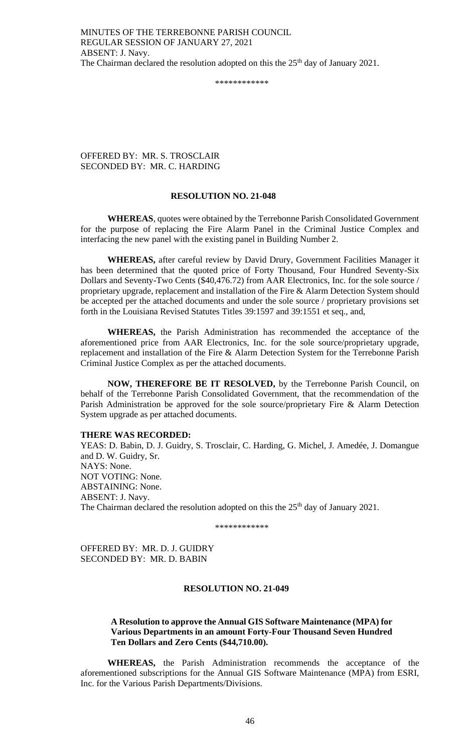\*\*\*\*\*\*\*\*\*\*\*\*

OFFERED BY: MR. S. TROSCLAIR SECONDED BY: MR. C. HARDING

# **RESOLUTION NO. 21-048**

**WHEREAS**, quotes were obtained by the Terrebonne Parish Consolidated Government for the purpose of replacing the Fire Alarm Panel in the Criminal Justice Complex and interfacing the new panel with the existing panel in Building Number 2.

**WHEREAS,** after careful review by David Drury, Government Facilities Manager it has been determined that the quoted price of Forty Thousand, Four Hundred Seventy-Six Dollars and Seventy-Two Cents (\$40,476.72) from AAR Electronics, Inc. for the sole source / proprietary upgrade, replacement and installation of the Fire & Alarm Detection System should be accepted per the attached documents and under the sole source / proprietary provisions set forth in the Louisiana Revised Statutes Titles 39:1597 and 39:1551 et seq., and,

**WHEREAS,** the Parish Administration has recommended the acceptance of the aforementioned price from AAR Electronics, Inc. for the sole source/proprietary upgrade, replacement and installation of the Fire & Alarm Detection System for the Terrebonne Parish Criminal Justice Complex as per the attached documents.

**NOW, THEREFORE BE IT RESOLVED,** by the Terrebonne Parish Council, on behalf of the Terrebonne Parish Consolidated Government, that the recommendation of the Parish Administration be approved for the sole source/proprietary Fire & Alarm Detection System upgrade as per attached documents.

# **THERE WAS RECORDED:**

YEAS: D. Babin, D. J. Guidry, S. Trosclair, C. Harding, G. Michel, J. Amedée, J. Domangue and D. W. Guidry, Sr. NAYS: None. NOT VOTING: None. ABSTAINING: None. ABSENT: J. Navy. The Chairman declared the resolution adopted on this the  $25<sup>th</sup>$  day of January 2021.

\*\*\*\*\*\*\*\*\*\*\*\*

OFFERED BY: MR. D. J. GUIDRY SECONDED BY: MR. D. BABIN

# **RESOLUTION NO. 21-049**

# **A Resolution to approve the Annual GIS Software Maintenance (MPA) for Various Departments in an amount Forty-Four Thousand Seven Hundred Ten Dollars and Zero Cents (\$44,710.00).**

**WHEREAS,** the Parish Administration recommends the acceptance of the aforementioned subscriptions for the Annual GIS Software Maintenance (MPA) from ESRI, Inc. for the Various Parish Departments/Divisions.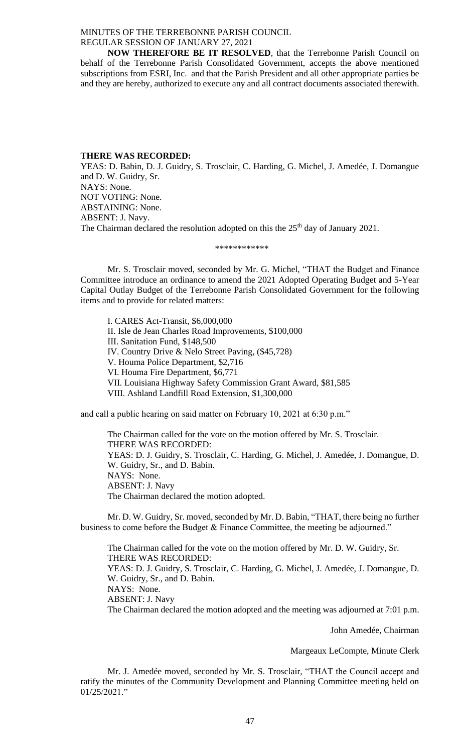**NOW THEREFORE BE IT RESOLVED**, that the Terrebonne Parish Council on behalf of the Terrebonne Parish Consolidated Government, accepts the above mentioned subscriptions from ESRI, Inc. and that the Parish President and all other appropriate parties be and they are hereby, authorized to execute any and all contract documents associated therewith.

#### **THERE WAS RECORDED:**

YEAS: D. Babin, D. J. Guidry, S. Trosclair, C. Harding, G. Michel, J. Amedée, J. Domangue and D. W. Guidry, Sr. NAYS: None. NOT VOTING: None. ABSTAINING: None. ABSENT: J. Navy. The Chairman declared the resolution adopted on this the 25<sup>th</sup> day of January 2021.

#### \*\*\*\*\*\*\*\*\*\*\*\*

Mr. S. Trosclair moved, seconded by Mr. G. Michel, "THAT the Budget and Finance Committee introduce an ordinance to amend the 2021 Adopted Operating Budget and 5-Year Capital Outlay Budget of the Terrebonne Parish Consolidated Government for the following items and to provide for related matters:

I. CARES Act-Transit, \$6,000,000 II. Isle de Jean Charles Road Improvements, \$100,000 III. Sanitation Fund, \$148,500 IV. Country Drive & Nelo Street Paving, (\$45,728) V. Houma Police Department, \$2,716 VI. Houma Fire Department, \$6,771 VII. Louisiana Highway Safety Commission Grant Award, \$81,585 VIII. Ashland Landfill Road Extension, \$1,300,000

and call a public hearing on said matter on February 10, 2021 at 6:30 p.m."

The Chairman called for the vote on the motion offered by Mr. S. Trosclair. THERE WAS RECORDED: YEAS: D. J. Guidry, S. Trosclair, C. Harding, G. Michel, J. Amedée, J. Domangue, D. W. Guidry, Sr., and D. Babin. NAYS: None. ABSENT: J. Navy The Chairman declared the motion adopted.

Mr. D. W. Guidry, Sr. moved, seconded by Mr. D. Babin, "THAT, there being no further business to come before the Budget & Finance Committee, the meeting be adjourned."

The Chairman called for the vote on the motion offered by Mr. D. W. Guidry, Sr. THERE WAS RECORDED: YEAS: D. J. Guidry, S. Trosclair, C. Harding, G. Michel, J. Amedée, J. Domangue, D. W. Guidry, Sr., and D. Babin. NAYS: None. ABSENT: J. Navy The Chairman declared the motion adopted and the meeting was adjourned at 7:01 p.m.

John Amedée, Chairman

Margeaux LeCompte, Minute Clerk

Mr. J. Amedée moved, seconded by Mr. S. Trosclair, "THAT the Council accept and ratify the minutes of the Community Development and Planning Committee meeting held on 01/25/2021."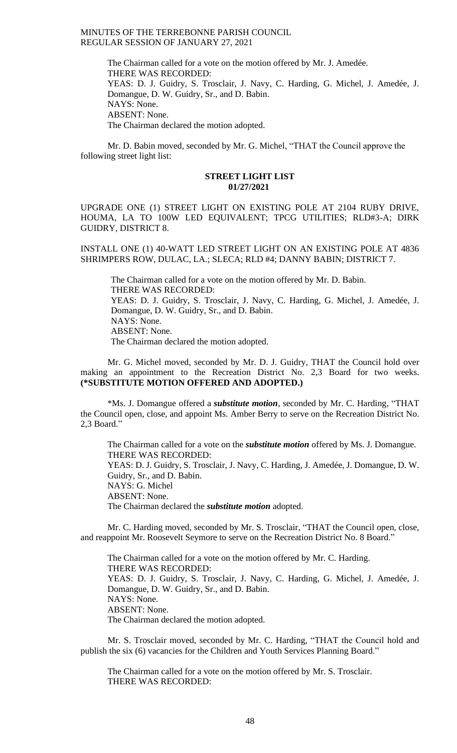> The Chairman called for a vote on the motion offered by Mr. J. Amedée. THERE WAS RECORDED: YEAS: D. J. Guidry, S. Trosclair, J. Navy, C. Harding, G. Michel, J. Amedée, J. Domangue, D. W. Guidry, Sr., and D. Babin. NAYS: None. ABSENT: None. The Chairman declared the motion adopted.

Mr. D. Babin moved, seconded by Mr. G. Michel, "THAT the Council approve the following street light list:

#### **STREET LIGHT LIST 01/27/2021**

UPGRADE ONE (1) STREET LIGHT ON EXISTING POLE AT 2104 RUBY DRIVE, HOUMA, LA TO 100W LED EQUIVALENT; TPCG UTILITIES; RLD#3-A; DIRK GUIDRY, DISTRICT 8.

INSTALL ONE (1) 40-WATT LED STREET LIGHT ON AN EXISTING POLE AT 4836 SHRIMPERS ROW, DULAC, LA.; SLECA; RLD #4; DANNY BABIN; DISTRICT 7.

The Chairman called for a vote on the motion offered by Mr. D. Babin. THERE WAS RECORDED: YEAS: D. J. Guidry, S. Trosclair, J. Navy, C. Harding, G. Michel, J. Amedée, J. Domangue, D. W. Guidry, Sr., and D. Babin. NAYS: None. ABSENT: None. The Chairman declared the motion adopted.

Mr. G. Michel moved, seconded by Mr. D. J. Guidry, THAT the Council hold over making an appointment to the Recreation District No. 2,3 Board for two weeks. **(\*SUBSTITUTE MOTION OFFERED AND ADOPTED.)**

\*Ms. J. Domangue offered a *substitute motion*, seconded by Mr. C. Harding, "THAT the Council open, close, and appoint Ms. Amber Berry to serve on the Recreation District No. 2,3 Board."

The Chairman called for a vote on the *substitute motion* offered by Ms. J. Domangue. THERE WAS RECORDED: YEAS: D. J. Guidry, S. Trosclair, J. Navy, C. Harding, J. Amedée, J. Domangue, D. W. Guidry, Sr., and D. Babin. NAYS: G. Michel ABSENT: None. The Chairman declared the *substitute motion* adopted.

Mr. C. Harding moved, seconded by Mr. S. Trosclair, "THAT the Council open, close, and reappoint Mr. Roosevelt Seymore to serve on the Recreation District No. 8 Board."

The Chairman called for a vote on the motion offered by Mr. C. Harding. THERE WAS RECORDED: YEAS: D. J. Guidry, S. Trosclair, J. Navy, C. Harding, G. Michel, J. Amedée, J. Domangue, D. W. Guidry, Sr., and D. Babin. NAYS: None. ABSENT: None. The Chairman declared the motion adopted.

Mr. S. Trosclair moved, seconded by Mr. C. Harding, "THAT the Council hold and publish the six (6) vacancies for the Children and Youth Services Planning Board."

The Chairman called for a vote on the motion offered by Mr. S. Trosclair. THERE WAS RECORDED: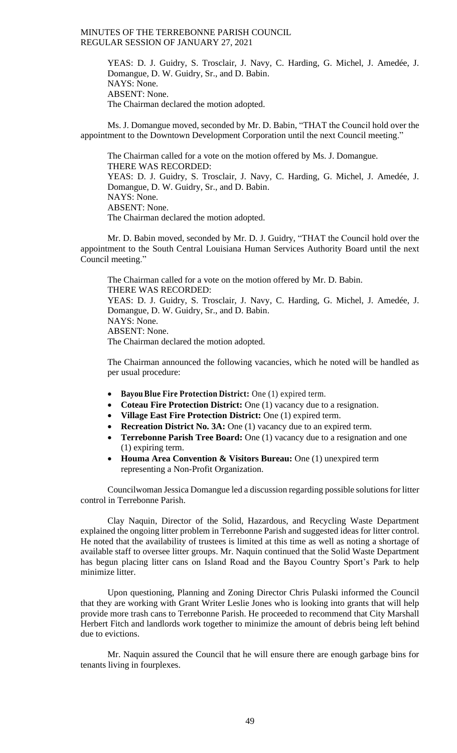> YEAS: D. J. Guidry, S. Trosclair, J. Navy, C. Harding, G. Michel, J. Amedée, J. Domangue, D. W. Guidry, Sr., and D. Babin. NAYS: None. ABSENT: None. The Chairman declared the motion adopted.

Ms. J. Domangue moved, seconded by Mr. D. Babin, "THAT the Council hold over the appointment to the Downtown Development Corporation until the next Council meeting."

The Chairman called for a vote on the motion offered by Ms. J. Domangue. THERE WAS RECORDED: YEAS: D. J. Guidry, S. Trosclair, J. Navy, C. Harding, G. Michel, J. Amedée, J. Domangue, D. W. Guidry, Sr., and D. Babin. NAYS: None. ABSENT: None. The Chairman declared the motion adopted.

Mr. D. Babin moved, seconded by Mr. D. J. Guidry, "THAT the Council hold over the appointment to the South Central Louisiana Human Services Authority Board until the next Council meeting."

The Chairman called for a vote on the motion offered by Mr. D. Babin. THERE WAS RECORDED: YEAS: D. J. Guidry, S. Trosclair, J. Navy, C. Harding, G. Michel, J. Amedée, J. Domangue, D. W. Guidry, Sr., and D. Babin. NAYS: None. ABSENT: None. The Chairman declared the motion adopted.

The Chairman announced the following vacancies, which he noted will be handled as per usual procedure:

- **Bayou Blue Fire Protection District:** One (1) expired term.
- **Coteau Fire Protection District:** One (1) vacancy due to a resignation.
- **Village East Fire Protection District:** One (1) expired term.
- **Recreation District No. 3A:** One (1) vacancy due to an expired term.
- **Terrebonne Parish Tree Board:** One (1) vacancy due to a resignation and one (1) expiring term.
- **Houma Area Convention & Visitors Bureau:** One (1) unexpired term representing a Non-Profit Organization.

Councilwoman Jessica Domangue led a discussion regarding possible solutions for litter control in Terrebonne Parish.

Clay Naquin, Director of the Solid, Hazardous, and Recycling Waste Department explained the ongoing litter problem in Terrebonne Parish and suggested ideas for litter control. He noted that the availability of trustees is limited at this time as well as noting a shortage of available staff to oversee litter groups. Mr. Naquin continued that the Solid Waste Department has begun placing litter cans on Island Road and the Bayou Country Sport's Park to help minimize litter.

Upon questioning, Planning and Zoning Director Chris Pulaski informed the Council that they are working with Grant Writer Leslie Jones who is looking into grants that will help provide more trash cans to Terrebonne Parish. He proceeded to recommend that City Marshall Herbert Fitch and landlords work together to minimize the amount of debris being left behind due to evictions.

Mr. Naquin assured the Council that he will ensure there are enough garbage bins for tenants living in fourplexes.